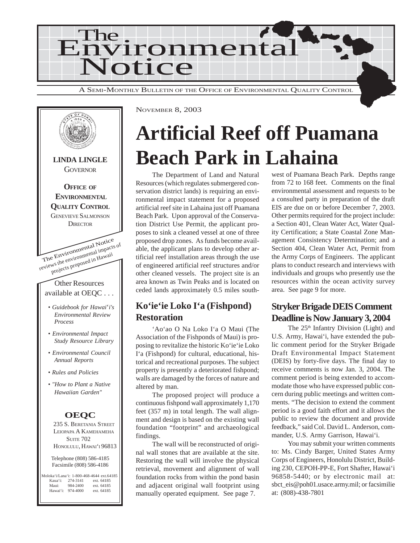



NOVEMBER 8, 2003

## **Artificial Reef off Puamana Beach Park in Lahaina**

The Department of Land and Natural Resources (which regulates submergered conservation district lands) is requiring an environmental impact statement for a proposed artificial reef site in Lahaina just off Puamana Beach Park. Upon approval of the Conservation District Use Permit, the applicant proposes to sink a cleaned vessel at one of three proposed drop zones. As funds become available, the applicant plans to develop other artificial reef installation areas through the use of engineered artificial reef structures and/or other cleaned vessels. The project site is an area known as Twin Peaks and is located on ceded lands approximately 0.5 miles south-

## **Ko'ie'ie Loko I'a (Fishpond) Restoration**

'Ao'ao O Na Loko I'a O Maui (The Association of the Fishponds of Maui) is proposing to revitalize the historic Ko'ie'ie Loko I'a (Fishpond) for cultural, educational, historical and recreational purposes. The subject property is presently a deteriorated fishpond; walls are damaged by the forces of nature and altered by man.

The proposed project will produce a continuous fishpond wall approximately 1,170 feet (357 m) in total length. The wall alignment and design is based on the existing wall foundation "footprint" and archaeological findings.

The wall will be reconstructed of original wall stones that are available at the site. Restoring the wall will involve the physical retrieval, movement and alignment of wall foundation rocks from within the pond basin and adjacent original wall footprint using manually operated equipment. See page 7.

west of Puamana Beach Park. Depths range from 72 to 168 feet. Comments on the final environmental assessment and requests to be a consulted party in preparation of the draft EIS are due on or before December 7, 2003. Other permits required for the project include: a Section 401, Clean Water Act, Water Quality Certification; a State Coastal Zone Management Consistency Determination; and a Section 404, Clean Water Act, Permit from the Army Corps of Engineers. The applicant plans to conduct research and interviews with individuals and groups who presently use the resources within the ocean activity survey area. See page 9 for more.

## **Stryker Brigade DEIS Comment Deadline is Now January 3, 2004**

The 25<sup>th</sup> Infantry Division (Light) and U.S. Army, Hawai'i, have extended the public comment period for the Stryker Brigade Draft Environmental Impact Statement (DEIS) by forty-five days. The final day to receive comments is now Jan. 3, 2004. The comment period is being extended to accommodate those who have expressed public concern during public meetings and written comments. "The decision to extend the comment period is a good faith effort and it allows the public to review the document and provide feedback," said Col. David L. Anderson, commander, U.S. Army Garrison, Hawai'i.

You may submit your written comments to: Ms. Cindy Barger, United States Army Corps of Engineers, Honolulu District, Building 230, CEPOH-PP-E, Fort Shafter, Hawai'i 96858-5440; or by electronic mail at: sbct\_eis@poh01.usace.army.mil; or facsimilie at: (808)-438-7801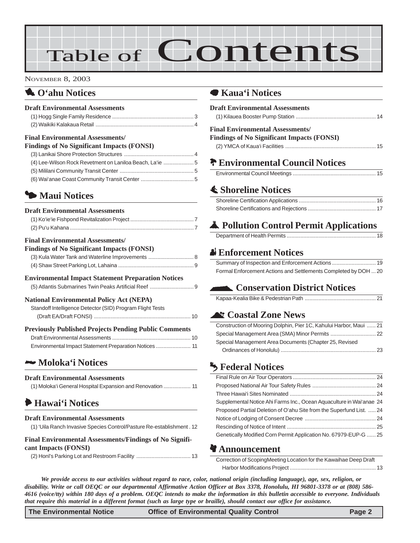# Table of Contents

#### NOVEMBER 8, 2003

## 1 **O'ahu Notices**

#### **Draft Environmental Assessments**

| <b>Final Environmental Assessments/</b> |  |
|-----------------------------------------|--|
|                                         |  |
|                                         |  |

#### **Findings of No Significant Impacts (FONSI)** [\(3\) Lanikai Shore Protection Structures](#page-3-0) .............................................. 4 [\(4\) Lee-Wilson Rock Revetment on Laniloa Beach, La'ie](#page-4-0) .................... 5 [\(5\) Mililani Community Transit Center](#page-4-0) ................................................. 5 [\(6\) Wai'anae Coast Community Transit Center](#page-4-0) ................................... 5

## 3 **Maui Notices**

#### **Draft Environmental Assessments**

#### **Final Environmental Assessments/**

**Findings of No Significant Impacts (FONSI)**

#### **Environmental Impact Statement Preparation Notices**

[\(5\) Atlantis Submarines Twin Peaks Artificial Reef ............................. 9](#page-8-0)

#### **National Environmental Policy Act (NEPA)**

| Standoff Intelligence Detector (SID) Program Flight Tests    |  |
|--------------------------------------------------------------|--|
|                                                              |  |
| <b>Previously Published Projects Pending Public Comments</b> |  |

### 2 **Moloka'i Notices**

#### **Draft Environmental Assessments**

| (1) Moloka'i General Hospital Expansion and Renovation  11 |
|------------------------------------------------------------|
|------------------------------------------------------------|

## 6 **[Hawai'i Notices](#page-11-0)**

### **Draft Environmental Assessments**

[\(1\) 'Uila Ranch Invasive Species Control/Pasture Re-establishment . 12](#page-11-0)

#### **Final Environmental Assessments/Findings of No Significant Impacts (FONSI)**

(2) Honl's Parking Lot and Restroom Facility .................................... 13

### 7 **Kaua'i Notices**

| <b>Draft Environmental Assessments</b>                          |
|-----------------------------------------------------------------|
| <b>Final Environmental Assessments/</b>                         |
| <b>Findings of No Significant Impacts (FONSI)</b>               |
|                                                                 |
| <b>P</b> Environmental Council Notices                          |
|                                                                 |
| <b>≰ Shoreline Notices</b>                                      |
|                                                                 |
|                                                                 |
| Pollution Control Permit Applications                           |
|                                                                 |
| <b>A</b> Enforcement Notices                                    |
| Summary of Inspection and Enforcement Actions  19               |
| Formal Enforcement Actions and Settlements Completed by DOH  20 |

## **Conservation District Notices**

### ^ **Coastal Zone News**

| Construction of Mooring Dolphin, Pier 1C, Kahului Harbor, Maui  21 |
|--------------------------------------------------------------------|
|                                                                    |
| Special Management Area Documents (Chapter 25, Revised             |
|                                                                    |

## g **Federal Notices**

| Supplemental Notice Ahi Farms Inc., Ocean Aquaculture in Wai'anae 24 |  |
|----------------------------------------------------------------------|--|
| Proposed Partial Deletion of O'ahu Site from the Superfund List.  24 |  |
|                                                                      |  |
|                                                                      |  |
| Genetically Modified Corn Permit Application No. 67979-EUP-G  25     |  |

### **Announcement**

| Correction of ScopingMeeting Location for the Kawaihae Deep Draft |  |
|-------------------------------------------------------------------|--|
|                                                                   |  |

*We provide access to our activities without regard to race, color, national origin (including language), age, sex, religion, or disability. Write or call OEQC or our departmental Affirmative Action Officer at Box 3378, Honolulu, HI 96801-3378 or at (808) 586- 4616 (voice/tty) within 180 days of a problem. OEQC intends to make the information in this bulletin accessible to everyone. Individuals that require this material in a different format (such as large type or braille), should contact our office for assistance.*

**The Environmental Notice Control Control Control Page 2**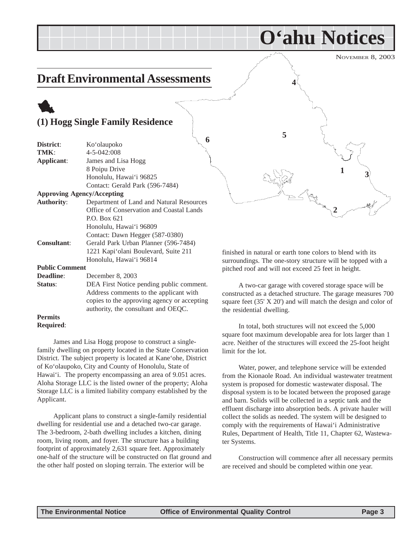NOVEMBER 8, 2003

 $\frac{1}{3}$ 

**2**

**O'ahu Notices**

**4**

## <span id="page-2-0"></span>**Draft Environmental Assessments**

## 1 **(1) Hogg Single Family Residence**

|                       |                                             | 5                         |
|-----------------------|---------------------------------------------|---------------------------|
| District:             | 6<br>Ko'olaupoko                            |                           |
| TMK:                  | 4-5-042:008                                 |                           |
| Applicant:            | James and Lisa Hogg                         |                           |
|                       | 8 Poipu Drive                               |                           |
|                       | Honolulu, Hawai'i 96825                     |                           |
|                       | Contact: Gerald Park (596-7484)             |                           |
|                       | <b>Approving Agency/Accepting</b>           |                           |
| <b>Authority:</b>     | Department of Land and Natural Resources    |                           |
|                       | Office of Conservation and Coastal Lands    |                           |
|                       | P.O. Box 621                                |                           |
|                       | Honolulu, Hawai'i 96809                     |                           |
|                       | Contact: Dawn Hegger (587-0380)             |                           |
| <b>Consultant:</b>    | Gerald Park Urban Planner (596-7484)        |                           |
|                       | 1221 Kapi'olani Boulevard, Suite 211        | finished in natural or ea |
|                       | Honolulu, Hawai'i 96814                     | surroundings. The one-    |
| <b>Public Comment</b> |                                             | pitched roof and will no  |
| Deadline:             | December 8, 2003                            |                           |
| Status:               | DEA First Notice pending public comment.    | A two-car garage          |
|                       | Address comments to the applicant with      | constructed as a detach   |
|                       | copies to the approving agency or accepting | square feet $(35' X 20')$ |
|                       | authority, the consultant and OEQC.         | the residential dwelling  |
| <b>Permits</b>        |                                             |                           |
| <b>Required:</b>      |                                             | In total both stru        |

James and Lisa Hogg propose to construct a singlefamily dwelling on property located in the State Conservation District. The subject property is located at Kane'ohe, District of Ko'olaupoko, City and County of Honolulu, State of Hawai'i. The property encompassing an area of 9.051 acres. Aloha Storage LLC is the listed owner of the property; Aloha Storage LLC is a limited liability company established by the Applicant.

Applicant plans to construct a single-family residential dwelling for residential use and a detached two-car garage. The 3-bedroom, 2-bath dwelling includes a kitchen, dining room, living room, and foyer. The structure has a building footprint of approximately 2,631 square feet. Approximately one-half of the structure will be constructed on flat ground and the other half posted on sloping terrain. The exterior will be

or earth tone colors to blend with its one-story structure will be topped with a ill not exceed 25 feet in height.

rage with covered storage space will be tached structure. The garage measures 700 20') and will match the design and color of lling.

In total, both structures will not exceed the 5,000 square foot maximum developable area for lots larger than 1 acre. Neither of the structures will exceed the 25-foot height limit for the lot.

Water, power, and telephone service will be extended from the Kionaole Road. An individual wastewater treatment system is proposed for domestic wastewater disposal. The disposal system is to be located between the proposed garage and barn. Solids will be collected in a septic tank and the effluent discharge into absorption beds. A private hauler will collect the solids as needed. The system will be designed to comply with the requirements of Hawai'i Administrative Rules, Department of Health, Title 11, Chapter 62, Wastewater Systems.

Construction will commence after all necessary permits are received and should be completed within one year.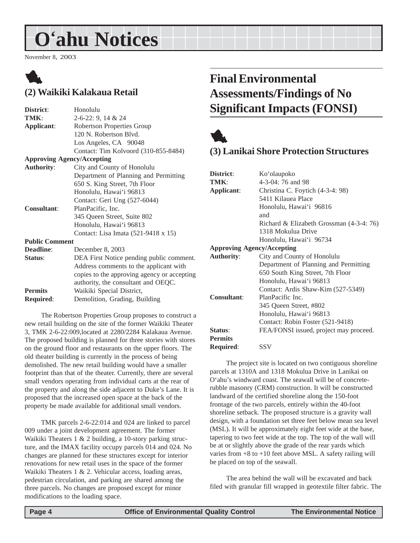## <span id="page-3-0"></span>**O'ahu Notices**

November 8, 2003

## 1 **(2) Waikiki Kalakaua Retail**

| District:             | Honolulu                                    |
|-----------------------|---------------------------------------------|
| TMK:                  | $2-6-22: 9, 14 & 24$                        |
| Applicant:            | Robertson Properties Group                  |
|                       | 120 N. Robertson Blvd.                      |
|                       | Los Angeles, CA 90048                       |
|                       | Contact: Tim Kolvoord (310-855-8484)        |
|                       | <b>Approving Agency/Accepting</b>           |
| <b>Authority:</b>     | City and County of Honolulu                 |
|                       | Department of Planning and Permitting       |
|                       | 650 S. King Street, 7th Floor               |
|                       | Honolulu, Hawai'i 96813                     |
|                       | Contact: Geri Ung (527-6044)                |
| <b>Consultant:</b>    | PlanPacific, Inc.                           |
|                       | 345 Queen Street, Suite 802                 |
|                       | Honolulu, Hawai'i 96813                     |
|                       | Contact: Lisa Imata (521-9418 x 15)         |
| <b>Public Comment</b> |                                             |
| Deadline:             | December 8, 2003                            |
| Status:               | DEA First Notice pending public comment.    |
|                       | Address comments to the applicant with      |
|                       | copies to the approving agency or accepting |
|                       | authority, the consultant and OEQC.         |
| <b>Permits</b>        | Waikiki Special District,                   |
| <b>Required:</b>      | Demolition, Grading, Building               |
|                       |                                             |

The Robertson Properties Group proposes to construct a new retail building on the site of the former Waikiki Theater 3, TMK 2-6-22:009,located at 2280/2284 Kalakaua Avenue. The proposed building is planned for three stories with stores on the ground floor and restaurants on the upper floors. The old theater building is currently in the process of being demolished. The new retail building would have a smaller footprint than that of the theater. Currently, there are several small vendors operating from individual carts at the rear of the property and along the side adjacent to Duke's Lane. It is proposed that the increased open space at the back of the property be made available for additional small vendors.

TMK parcels 2-6-22:014 and 024 are linked to parcel 009 under a joint development agreement. The former Waikiki Theaters 1 & 2 building, a 10-story parking structure, and the IMAX facility occupy parcels 014 and 024. No changes are planned for these structures except for interior renovations for new retail uses in the space of the former Waikiki Theaters 1 & 2. Vehicular access, loading areas, pedestrian circulation, and parking are shared among the three parcels. No changes are proposed except for minor modifications to the loading space.

## **Final Environmental Assessments/Findings of No Significant Impacts (FONSI)**



## **(3) Lanikai Shore Protection Structures**

| District:                         | Ko'olaupoko                              |
|-----------------------------------|------------------------------------------|
| TMK:                              | 4-3-04: 76 and 98                        |
| Applicant:                        | Christina C. Foytich (4-3-4: 98)         |
|                                   | 5411 Kilauea Place                       |
|                                   | Honolulu, Hawai'i 96816                  |
|                                   | and                                      |
|                                   | Richard & Elizabeth Grossman (4-3-4: 76) |
|                                   | 1318 Mokulua Drive                       |
|                                   | Honolulu, Hawai'i 96734                  |
| <b>Approving Agency/Accepting</b> |                                          |
| <b>Authority:</b>                 | City and County of Honolulu              |
|                                   | Department of Planning and Permitting    |
|                                   | 650 South King Street, 7th Floor         |
|                                   | Honolulu, Hawai'i 96813                  |
|                                   | Contact: Ardis Shaw-Kim (527-5349)       |
| <b>Consultant:</b>                | PlanPacific Inc.                         |
|                                   | 345 Queen Street, #802                   |
|                                   | Honolulu, Hawai'i 96813                  |
|                                   | Contact: Robin Foster (521-9418)         |
| Status:                           | FEA/FONSI issued, project may proceed.   |
| <b>Permits</b>                    |                                          |
| <b>Required:</b>                  | <b>SSV</b>                               |

The project site is located on two contiguous shoreline parcels at 1310A and 1318 Mokulua Drive in Lanikai on O'ahu's windward coast. The seawall will be of concreterubble masonry (CRM) construction. It will be constructed landward of the certified shoreline along the 150-foot frontage of the two parcels, entirely within the 40-foot shoreline setback. The proposed structure is a gravity wall design, with a foundation set three feet below mean sea level (MSL). It will be approximately eight feet wide at the base, tapering to two feet wide at the top. The top of the wall will be at or slightly above the grade of the rear yards which varies from  $+8$  to  $+10$  feet above MSL. A safety railing will be placed on top of the seawall.

The area behind the wall will be excavated and back filed with granular fill wrapped in geotextile filter fabric. The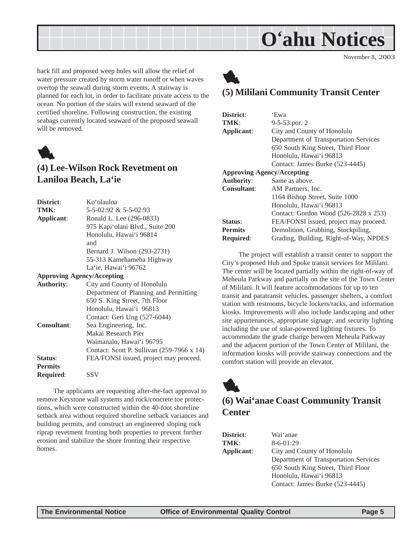

November 8, 2003

<span id="page-4-0"></span>back fill and proposed weep holes will allow the relief of water pressure created by storm water runoff or when waves overtop the seawall during storm events. A stairway is planned for each lot, in order to facilitate private access to the ocean. No portion of the stairs will extend seaward of the certified shoreline. Following construction, the existing seabags currently located seaward of the proposed seawall will be removed.



## **(4) Lee-Wilson Rock Revetment on Laniloa Beach, La'ie**

| District:                         | Koʻolauloa                                 |
|-----------------------------------|--------------------------------------------|
| TMK:                              | 5-5-02:92 & 5-5-02:93                      |
| Applicant:                        | Ronald L. Lee (296-0833)                   |
|                                   | 975 Kapi'olani Blvd., Suite 200            |
|                                   | Honolulu, Hawai'i 96814                    |
|                                   | and                                        |
|                                   | Bernard J. Wilson (293-2731)               |
|                                   | 55-313 Kamehameha Highway                  |
|                                   | La'ie, Hawai'i 96762                       |
| <b>Approving Agency/Accepting</b> |                                            |
| <b>Authority:</b>                 | City and County of Honolulu                |
|                                   | Department of Planning and Permitting      |
|                                   | 650 S. King Street, 7th Floor              |
|                                   | Honolulu, Hawai'i 96813                    |
|                                   | Contact: Geri Ung (527-6044)               |
| <b>Consultant:</b>                | Sea Engineering, Inc.                      |
|                                   | Makai Research Pier                        |
|                                   | Waimanalo, Hawai'i 96795                   |
|                                   | Contact: Scott P. Sullivan (259-7966 x 14) |
| Status:                           | FEA/FONSI issued, project may proceed.     |
| <b>Permits</b>                    |                                            |
| <b>Required:</b>                  | SSV                                        |
|                                   |                                            |

The applicants are requesting after-the-fact approval to remove Keystone wall systems and rock/concrete toe protections, which were constructed within the 40-foot shoreline setback area without required shoreline setback variances and building permits, and construct an engineered sloping rock riprap revetment fronting both properties to prevent further erosion and stabilize the shore fronting their respective homes.



## **(5) Mililani Community Transit Center**

| District:                         | 'Ewa                                   |
|-----------------------------------|----------------------------------------|
| TMK:                              | $9-5-53$ : por. 2                      |
| Applicant:                        | City and County of Honolulu            |
|                                   | Department of Transportation Services  |
|                                   | 650 South King Street, Third Floor     |
|                                   | Honolulu, Hawai'i 96813                |
|                                   | Contact: James Burke (523-4445)        |
| <b>Approving Agency/Accepting</b> |                                        |
| <b>Authority:</b>                 | Same as above.                         |
| <b>Consultant:</b>                | AM Partners, Inc.                      |
|                                   | 1164 Bishop Street, Suite 1000         |
|                                   | Honolulu, Hawai'i 96813                |
|                                   | Contact: Gordon Wood (526-2828 x 253)  |
| Status:                           | FEA/FONSI issued, project may proceed. |
| <b>Permits</b>                    | Demolition, Grubbing, Stockpiling,     |
| <b>Required:</b>                  | Grading, Building, Right-of-Way, NPDES |

The project will establish a transit center to support the City's proposed Hub and Spoke transit services for Mililani. The center will be located partially within the right-of-way of Meheula Parkway and partially on the site of the Town Center of Mililani. It will feature accommodations for up to ten transit and paratransit vehicles, passenger shelters, a comfort station with restrooms, bicycle lockers/racks, and information kiosks. Improvements will also include landscaping and other site appurtenances, appropriate signage, and security lighting including the use of solar-powered lighting fixtures. To accommodate the grade change between Meheula Parkway and the adjacent portion of the Town Center of Mililani, the information kiosks will provide stairway connections and the comfort station will provide an elevator.



## **(6) Wai'anae Coast Community Transit Center**

**District**: Wai'anae

**TMK**: 8-6-01:29 **Applicant**: City and County of Honolulu Department of Transportation Services 650 South King Street, Third Floor Honolulu, Hawai'i 96813 Contact: James Burke (523-4445)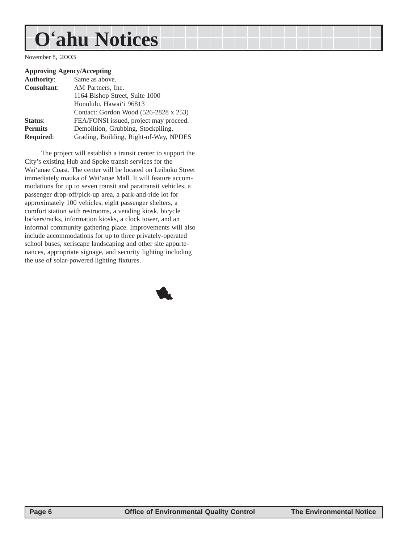## **O'ahu Notices**

November 8, 2003

#### **Approving Agency/Accepting**

| <b>Authority:</b>  | Same as above.                         |
|--------------------|----------------------------------------|
| <b>Consultant:</b> | AM Partners, Inc.                      |
|                    | 1164 Bishop Street, Suite 1000         |
|                    | Honolulu, Hawai'i 96813                |
|                    | Contact: Gordon Wood (526-2828 x 253)  |
| Status:            | FEA/FONSI issued, project may proceed. |
| <b>Permits</b>     | Demolition, Grubbing, Stockpiling,     |
| <b>Required:</b>   | Grading, Building, Right-of-Way, NPDES |
|                    |                                        |

The project will establish a transit center to support the City's existing Hub and Spoke transit services for the Wai'anae Coast. The center will be located on Leihoku Street immediately mauka of Wai'anae Mall. It will feature accommodations for up to seven transit and paratransit vehicles, a passenger drop-off/pick-up area, a park-and-ride lot for approximately 100 vehicles, eight passenger shelters, a comfort station with restrooms, a vending kiosk, bicycle lockers/racks, information kiosks, a clock tower, and an informal community gathering place. Improvements will also include accommodations for up to three privately-operated school buses, xeriscape landscaping and other site appurtenances, appropriate signage, and security lighting including the use of solar-powered lighting fixtures.

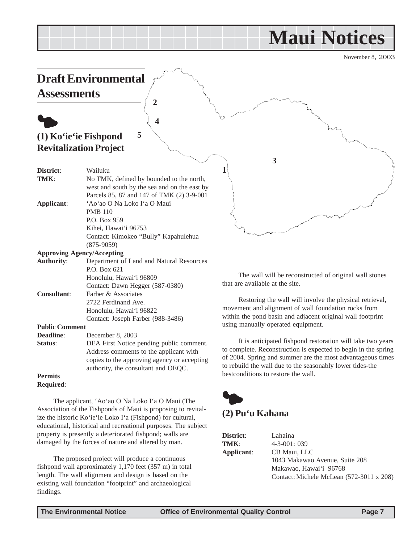## **Maui Notices**

November 8, 2003

<span id="page-6-0"></span>

The applicant, 'Ao'ao O Na Loko I'a O Maui (The Association of the Fishponds of Maui is proposing to revitalize the historic Ko'ie'ie Loko I'a (Fishpond) for cultural, educational, historical and recreational purposes. The subject property is presently a deteriorated fishpond; walls are damaged by the forces of nature and altered by man.

The proposed project will produce a continuous fishpond wall approximately 1,170 feet (357 m) in total length. The wall alignment and design is based on the existing wall foundation "footprint" and archaeological findings.

**(2) Pu'u Kahana**

| District:  | Lahaina                                  |
|------------|------------------------------------------|
| TMK:       | $4 - 3 - 001$ : 039                      |
| Applicant: | CB Maui, LLC                             |
|            | 1043 Makawao Avenue, Suite 208           |
|            | Makawao, Hawai'i 96768                   |
|            | Contact: Michele McLean (572-3011 x 208) |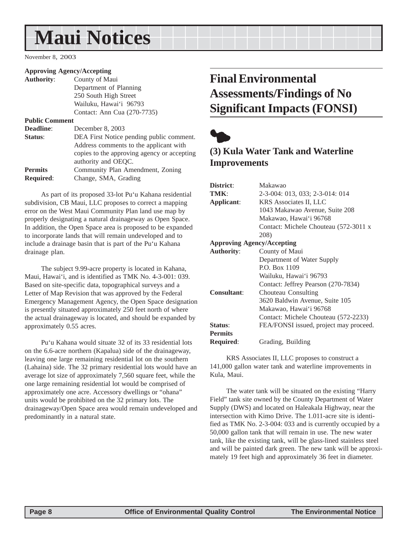## <span id="page-7-0"></span>**Maui Notices**

November 8, 2003

#### **Approving Agency/Accepting**

| <b>Authority:</b>     | County of Maui                              |
|-----------------------|---------------------------------------------|
|                       | Department of Planning                      |
|                       | 250 South High Street                       |
|                       | Wailuku, Hawai'i 96793                      |
|                       | Contact: Ann Cua (270-7735)                 |
| <b>Public Comment</b> |                                             |
| Deadline:             | December 8, 2003                            |
| Status:               | DEA First Notice pending public comment.    |
|                       | Address comments to the applicant with      |
|                       | copies to the approving agency or accepting |
|                       | authority and OEQC.                         |
| <b>Permits</b>        | Community Plan Amendment, Zoning            |
| <b>Required:</b>      | Change, SMA, Grading                        |
|                       |                                             |

As part of its proposed 33-lot Pu'u Kahana residential subdivision, CB Maui, LLC proposes to correct a mapping error on the West Maui Community Plan land use map by properly designating a natural drainageway as Open Space. In addition, the Open Space area is proposed to be expanded to incorporate lands that will remain undeveloped and to include a drainage basin that is part of the Pu'u Kahana drainage plan.

The subject 9.99-acre property is located in Kahana, Maui, Hawai'i, and is identified as TMK No. 4-3-001: 039. Based on site-specific data, topographical surveys and a Letter of Map Revision that was approved by the Federal Emergency Management Agency, the Open Space designation is presently situated approximately 250 feet north of where the actual drainageway is located, and should be expanded by approximately 0.55 acres.

Pu'u Kahana would situate 32 of its 33 residential lots on the 6.6-acre northern (Kapalua) side of the drainageway, leaving one large remaining residential lot on the southern (Lahaina) side. The 32 primary residential lots would have an average lot size of approximately 7,560 square feet, while the one large remaining residential lot would be comprised of approximately one acre. Accessory dwellings or "ohana" units would be prohibited on the 32 primary lots. The drainageway/Open Space area would remain undeveloped and predominantly in a natural state.

## **Final Environmental Assessments/Findings of No Significant Impacts (FONSI)**



## **(3) Kula Water Tank and Waterline Improvements**

| District:                         | Makawao                                |
|-----------------------------------|----------------------------------------|
| TMK:                              | 2-3-004: 013, 033; 2-3-014: 014        |
| Applicant:                        | KRS Associates II, LLC                 |
|                                   | 1043 Makawao Avenue, Suite 208         |
|                                   | Makawao, Hawai'i 96768                 |
|                                   | Contact: Michele Chouteau (572-3011 x  |
|                                   | 208)                                   |
| <b>Approving Agency/Accepting</b> |                                        |
| <b>Authority:</b>                 | County of Maui                         |
|                                   | Department of Water Supply             |
|                                   | P.O. Box 1109                          |
|                                   | Wailuku, Hawai'i 96793                 |
|                                   | Contact: Jeffrey Pearson (270-7834)    |
| <b>Consultant:</b>                | Chouteau Consulting                    |
|                                   | 3620 Baldwin Avenue, Suite 105         |
|                                   | Makawao, Hawai'i 96768                 |
|                                   | Contact: Michele Chouteau (572-2233)   |
| Status:                           | FEA/FONSI issued, project may proceed. |
| <b>Permits</b>                    |                                        |
| Required:                         | Grading, Building                      |
|                                   |                                        |

KRS Associates II, LLC proposes to construct a 141,000 gallon water tank and waterline improvements in Kula, Maui.

The water tank will be situated on the existing "Harry Field" tank site owned by the County Department of Water Supply (DWS) and located on Haleakala Highway, near the intersection with Kimo Drive. The 1.011-acre site is identified as TMK No. 2-3-004: 033 and is currently occupied by a 50,000 gallon tank that will remain in use. The new water tank, like the existing tank, will be glass-lined stainless steel and will be painted dark green. The new tank will be approximately 19 feet high and approximately 36 feet in diameter.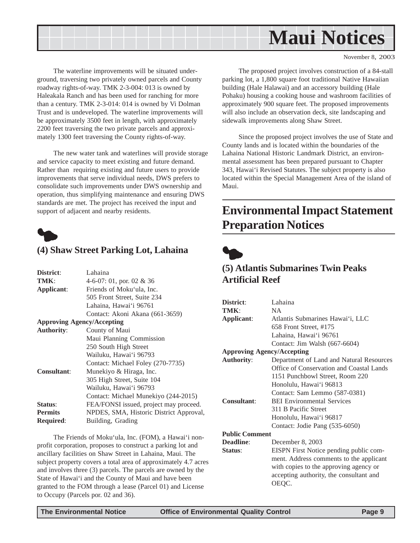<span id="page-8-0"></span>

November 8, 2003

The waterline improvements will be situated underground, traversing two privately owned parcels and County roadway rights-of-way. TMK 2-3-004: 013 is owned by Haleakala Ranch and has been used for ranching for more than a century. TMK 2-3-014: 014 is owned by Vi Dolman Trust and is undeveloped. The waterline improvements will be approximately 3500 feet in length, with approximately 2200 feet traversing the two private parcels and approximately 1300 feet traversing the County rights-of-way.

The new water tank and waterlines will provide storage and service capacity to meet existing and future demand. Rather than requiring existing and future users to provide improvements that serve individual needs, DWS prefers to consolidate such improvements under DWS ownership and operation, thus simplifying maintenance and ensuring DWS standards are met. The project has received the input and support of adjacent and nearby residents.



### **(4) Shaw Street Parking Lot, Lahaina**

| District:                         | Lahaina                                 |
|-----------------------------------|-----------------------------------------|
| TMK:                              | 4-6-07: 01, por. 02 & 36                |
| Applicant:                        | Friends of Moku'ula. Inc.               |
|                                   | 505 Front Street, Suite 234             |
|                                   | Lahaina, Hawai'i 96761                  |
|                                   | Contact: Akoni Akana (661-3659)         |
| <b>Approving Agency/Accepting</b> |                                         |
| <b>Authority:</b>                 | County of Maui                          |
|                                   | Maui Planning Commission                |
|                                   | 250 South High Street                   |
|                                   | Wailuku, Hawai'i 96793                  |
|                                   | Contact: Michael Foley (270-7735)       |
| <b>Consultant:</b>                | Munekiyo & Hiraga, Inc.                 |
|                                   | 305 High Street, Suite 104              |
|                                   | Wailuku, Hawai'i 96793                  |
|                                   | Contact: Michael Munekiyo (244-2015)    |
| Status:                           | FEA/FONSI issued, project may proceed.  |
| <b>Permits</b>                    | NPDES, SMA, Historic District Approval, |
| <b>Required:</b>                  | Building, Grading                       |
|                                   |                                         |

The Friends of Moku'ula, Inc. (FOM), a Hawai'i nonprofit corporation, proposes to construct a parking lot and ancillary facilities on Shaw Street in Lahaina, Maui. The subject property covers a total area of approximately 4.7 acres and involves three (3) parcels. The parcels are owned by the State of Hawai'i and the County of Maui and have been granted to the FOM through a lease (Parcel 01) and License to Occupy (Parcels por. 02 and 36).

The proposed project involves construction of a 84-stall parking lot, a 1,800 square foot traditional Native Hawaiian building (Hale Halawai) and an accessory building (Hale Pohaku) housing a cooking house and washroom facilities of approximately 900 square feet. The proposed improvements will also include an observation deck, site landscaping and sidewalk improvements along Shaw Street.

Since the proposed project involves the use of State and County lands and is located within the boundaries of the Lahaina National Historic Landmark District, an environmental assessment has been prepared pursuant to Chapter 343, Hawai'i Revised Statutes. The subject property is also located within the Special Management Area of the island of Maui.

## **Environmental Impact Statement Preparation Notices**



## **(5) Atlantis Submarines Twin Peaks Artificial Reef**

| District:                         | Lahaina                                  |
|-----------------------------------|------------------------------------------|
| TMK:                              | <b>NA</b>                                |
| Applicant:                        | Atlantis Submarines Hawai'i, LLC         |
|                                   | 658 Front Street, #175                   |
|                                   | Lahaina, Hawai'i 96761                   |
|                                   | Contact: Jim Walsh (667-6604)            |
| <b>Approving Agency/Accepting</b> |                                          |
| <b>Authority:</b>                 | Department of Land and Natural Resources |
|                                   | Office of Conservation and Coastal Lands |
|                                   | 1151 Punchbowl Street, Room 220          |
|                                   | Honolulu, Hawai'i 96813                  |
|                                   | Contact: Sam Lemmo (587-0381)            |
| <b>Consultant:</b>                | <b>BEI Environmental Services</b>        |
|                                   | 311 B Pacific Street                     |
|                                   | Honolulu, Hawai'i 96817                  |
|                                   | Contact: Jodie Pang (535-6050)           |
| <b>Public Comment</b>             |                                          |
| <b>Deadline:</b>                  | December 8, 2003                         |
| Status:                           | EISPN First Notice pending public com-   |
|                                   | ment. Address comments to the applicant  |
|                                   | with copies to the approving agency or   |
|                                   | accepting authority, the consultant and  |
|                                   | OEQC.                                    |
|                                   |                                          |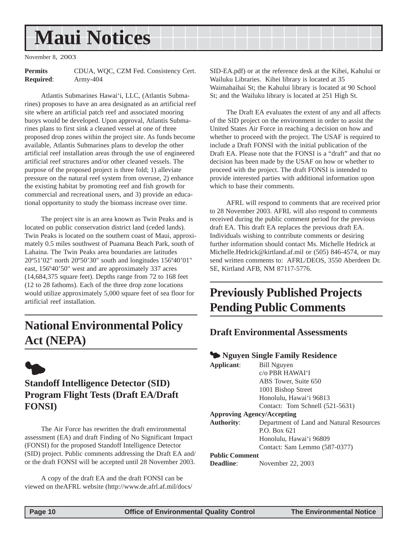## <span id="page-9-0"></span>**Maui Notices**

November 8, 2003

**Permits** CDUA, WQC, CZM Fed. Consistency Cert. **Required**: Army-404

Atlantis Submarines Hawai'i, LLC, (Atlantis Submarines) proposes to have an area designated as an artificial reef site where an artificial patch reef and associated mooring buoys would be developed. Upon approval, Atlantis Submarines plans to first sink a cleaned vessel at one of three proposed drop zones within the project site. As funds become available, Atlantis Submarines plans to develop the other artificial reef installation areas through the use of engineered artificial reef structures and/or other cleaned vessels. The purpose of the proposed project is three fold; 1) alleviate pressure on the natural reef system from overuse, 2) enhance the existing habitat by promoting reef and fish growth for commercial and recreational users, and 3) provide an educational opportunity to study the biomass increase over time.

The project site is an area known as Twin Peaks and is located on public conservation district land (ceded lands). Twin Peaks is located on the southern coast of Maui, approximately 0.5 miles southwest of Puamana Beach Park, south of Lahaina. The Twin Peaks area boundaries are latitudes 20º51'02" north 20º50'30" south and longitudes 156º40'01" east, 156º40'50" west and are approximately 337 acres (14,684,375 square feet). Depths range from 72 to 168 feet (12 to 28 fathoms). Each of the three drop zone locations would utilize approximately 5,000 square feet of sea floor for artificial reef installation.

## **National Environmental Policy Act (NEPA)**



## **Standoff Intelligence Detector (SID) Program Flight Tests (Draft EA/Draft FONSI)**

The Air Force has rewritten the draft environmental assessment (EA) and draft Finding of No Significant Impact (FONSI) for the proposed Standoff Intelligence Detector (SID) project. Public comments addressing the Draft EA and/ or the draft FONSI will be accepted until 28 November 2003.

A copy of the draft EA and the draft FONSI can be viewed on theAFRL website (http://www.de.afrl.af.mil/docs/ SID-EA.pdf) or at the reference desk at the Kihei, Kahului or Wailuku Libraries. Kihei library is located at 35 Waimahaihai St; the Kahului library is located at 90 School St; and the Wailuku library is located at 251 High St.

The Draft EA evaluates the extent of any and all affects of the SID project on the environment in order to assist the United States Air Force in reaching a decision on how and whether to proceed with the project. The USAF is required to include a Draft FONSI with the initial publication of the Draft EA. Please note that the FONSI is a "draft" and that no decision has been made by the USAF on how or whether to proceed with the project. The draft FONSI is intended to provide interested parties with additional information upon which to base their comments.

AFRL will respond to comments that are received prior to 28 November 2003. AFRL will also respond to comments received during the public comment period for the previous draft EA. This draft EA replaces the previous draft EA. Individuals wishing to contribute comments or desiring further information should contact Ms. Michelle Hedrick at Michelle.Hedrick@kirtland.af.mil or (505) 846-4574, or may send written comments to: AFRL/DEOS, 3550 Aberdeen Dr. SE, Kirtland AFB, NM 87117-5776.

## **Previously Published Projects Pending Public Comments**

### **Draft Environmental Assessments**

| Applicant:            | Bill Nguyen                              |
|-----------------------|------------------------------------------|
|                       | $c/\sigma$ PBR HAWAI'I                   |
|                       | ABS Tower, Suite 650                     |
|                       | 1001 Bishop Street                       |
|                       | Honolulu, Hawai'i 96813                  |
|                       | Contact: Tom Schnell (521-5631)          |
|                       | <b>Approving Agency/Accepting</b>        |
| <b>Authority:</b>     | Department of Land and Natural Resources |
|                       | $P.$ $O.$ $Box 621$                      |
|                       | Honolulu, Hawai'i 96809                  |
|                       | Contact: Sam Lemmo (587-0377)            |
| <b>Public Comment</b> |                                          |
| <b>Deadline:</b>      | November 22, 2003                        |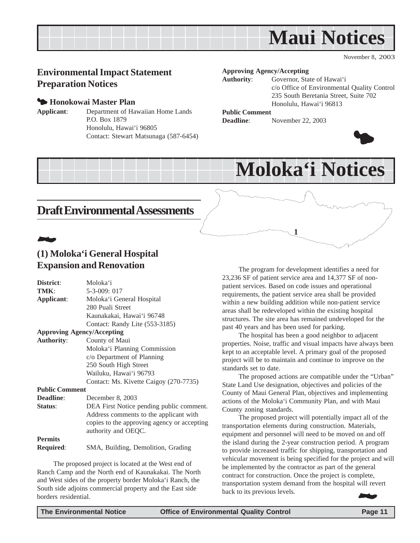<span id="page-10-0"></span>

November 8, 2003

## **Environmental Impact Statement Preparation Notices**

#### 3 **Honokowai Master Plan**

**Applicant**: Department of Hawaiian Home Lands P.O. Box 1879 Honolulu, Hawai'i 96805 Contact: Stewart Matsunaga (587-6454)

#### **Approving Agency/Accepting**

**Authority**: Governor, State of Hawai'i c/o Office of Environmental Quality Control 235 South Beretania Street, Suite 702 Honolulu, Hawai'i 96813

#### **Public Comment**

**Deadline**: November 22, 2003



## **Draft Environmental Assessments**

## 22 J

### **(1) Moloka'i General Hospital Expansion and Renovation**

| District:                         | Moloka'i                                    |
|-----------------------------------|---------------------------------------------|
| TMK:                              | 5-3-009: 017                                |
| Applicant:                        | Moloka'i General Hospital                   |
|                                   | 280 Puali Street                            |
|                                   | Kaunakakai, Hawai'i 96748                   |
|                                   | Contact: Randy Lite (553-3185)              |
| <b>Approving Agency/Accepting</b> |                                             |
| <b>Authority:</b>                 | County of Maui                              |
|                                   | Moloka'i Planning Commission                |
|                                   | c/o Department of Planning                  |
|                                   | 250 South High Street                       |
|                                   | Wailuku, Hawai'i 96793                      |
|                                   | Contact: Ms. Kivette Caigoy (270-7735)      |
| <b>Public Comment</b>             |                                             |
| <b>Deadline:</b>                  | December 8, 2003                            |
| Status:                           | DEA First Notice pending public comment.    |
|                                   | Address comments to the applicant with      |
|                                   | copies to the approving agency or accepting |
|                                   | authority and OEQC.                         |
| <b>Permits</b>                    |                                             |
| <b>Required:</b>                  | SMA, Building, Demolition, Grading          |
|                                   |                                             |

The proposed project is located at the West end of Ranch Camp and the North end of Kaunakakai. The North and West sides of the property border Moloka'i Ranch, the South side adjoins commercial property and the East side borders residential.

The program for development identifies a need for 23,236 SF of patient service area and 14,377 SF of nonpatient services. Based on code issues and operational requirements, the patient service area shall be provided within a new building addition while non-patient service areas shall be redeveloped within the existing hospital structures. The site area has remained undeveloped for the past 40 years and has been used for parking.

**1**

**Moloka'i Notices**

The hospital has been a good neighbor to adjacent properties. Noise, traffic and visual impacts have always been kept to an acceptable level. A primary goal of the proposed project will be to maintain and continue to improve on the standards set to date.

The proposed actions are compatible under the "Urban" State Land Use designation, objectives and policies of the County of Maui General Plan, objectives and implementing actions of the Moloka'i Community Plan, and with Maui County zoning standards.

The proposed project will potentially impact all of the transportation elements during construction. Materials, equipment and personnel will need to be moved on and off the island during the 2-year construction period. A program to provide increased traffic for shipping, transportation and vehicular movement is being specified for the project and will be implemented by the contractor as part of the general contract for construction. Once the project is complete, transportation system demand from the hospital will revert back to its previous levels. 22 J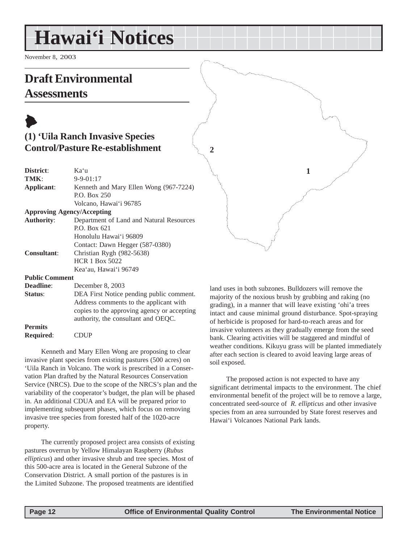## <span id="page-11-0"></span>**Hawai'i Notices**

November 8, 2003

## **Draft Environmental Assessments**

## $\blacklozenge$ **(1) 'Uila Ranch Invasive Species Control/Pasture Re-establishment**

| District:               | Kaʻu                                                                                                                                                                                                                                                                                                                                                                                                       |
|-------------------------|------------------------------------------------------------------------------------------------------------------------------------------------------------------------------------------------------------------------------------------------------------------------------------------------------------------------------------------------------------------------------------------------------------|
| TMK:                    | $9 - 9 - 01:17$                                                                                                                                                                                                                                                                                                                                                                                            |
| Applicant:              | Kenneth and Mary Ellen Wong (967-7224)                                                                                                                                                                                                                                                                                                                                                                     |
|                         | P.O. Box 250                                                                                                                                                                                                                                                                                                                                                                                               |
|                         | Volcano, Hawai'i 96785                                                                                                                                                                                                                                                                                                                                                                                     |
|                         | <b>Approving Agency/Accepting</b>                                                                                                                                                                                                                                                                                                                                                                          |
| <b>Authority:</b>       | Department of Land and Natural Resources                                                                                                                                                                                                                                                                                                                                                                   |
|                         | P.O. Box 621                                                                                                                                                                                                                                                                                                                                                                                               |
|                         | Honolulu Hawai'i 96809                                                                                                                                                                                                                                                                                                                                                                                     |
|                         | Contact: Dawn Hegger (587-0380)                                                                                                                                                                                                                                                                                                                                                                            |
| <b>Consultant:</b>      | Christian Rygh (982-5638)                                                                                                                                                                                                                                                                                                                                                                                  |
|                         | <b>HCR 1 Box 5022</b>                                                                                                                                                                                                                                                                                                                                                                                      |
|                         | Kea'au, Hawai'i 96749                                                                                                                                                                                                                                                                                                                                                                                      |
| <b>Public Comment</b>   |                                                                                                                                                                                                                                                                                                                                                                                                            |
| <b>Deadline:</b>        | December 8, 2003                                                                                                                                                                                                                                                                                                                                                                                           |
| $\mathbf{C}$ to the set | $\overline{\text{DE}}$ $\overline{\text{E}}$ $\overline{\text{E}}$ and $\overline{\text{E}}$ and $\overline{\text{E}}$ and $\overline{\text{E}}$ and $\overline{\text{E}}$ and $\overline{\text{E}}$ and $\overline{\text{E}}$ and $\overline{\text{E}}$ and $\overline{\text{E}}$ and $\overline{\text{E}}$ and $\overline{\text{E}}$ and $\overline{\text{E}}$ and $\overline{\text{E}}$ and $\overline$ |

| Status:          | DEA First Notice pending public comment.    |
|------------------|---------------------------------------------|
|                  | Address comments to the applicant with      |
|                  | copies to the approving agency or accepting |
|                  | authority, the consultant and OEQC.         |
| <b>Permits</b>   |                                             |
| <b>Required:</b> | <b>CDUP</b>                                 |

Kenneth and Mary Ellen Wong are proposing to clear invasive plant species from existing pastures (500 acres) on 'Uila Ranch in Volcano. The work is prescribed in a Conservation Plan drafted by the Natural Resources Conservation Service (NRCS). Due to the scope of the NRCS's plan and the variability of the cooperator's budget, the plan will be phased in. An additional CDUA and EA will be prepared prior to implementing subsequent phases, which focus on removing invasive tree species from forested half of the 1020-acre property.

The currently proposed project area consists of existing pastures overrun by Yellow Himalayan Raspberry (*Rubus ellipticus*) and other invasive shrub and tree species. Most of this 500-acre area is located in the General Subzone of the Conservation District. A small portion of the pastures is in the Limited Subzone. The proposed treatments are identified

land uses in both subzones. Bulldozers will remove the majority of the noxious brush by grubbing and raking (no grading), in a manner that will leave existing 'ohi'a trees intact and cause minimal ground disturbance. Spot-spraying of herbicide is proposed for hard-to-reach areas and for invasive volunteers as they gradually emerge from the seed bank. Clearing activities will be staggered and mindful of weather conditions. Kikuyu grass will be planted immediately after each section is cleared to avoid leaving large areas of soil exposed.

**1**

The proposed action is not expected to have any significant detrimental impacts to the environment. The chief environmental benefit of the project will be to remove a large, concentrated seed-source of *R. ellipticus* and other invasive species from an area surrounded by State forest reserves and Hawai'i Volcanoes National Park lands.

**2**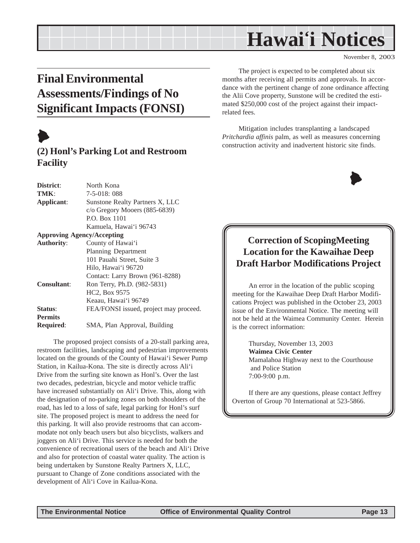## **Hawai'i Notices**

November 8, 2003

## **Final Environmental Assessments/Findings of No Significant Impacts (FONSI)**

## $\blacktriangleright$

## **(2) Honl's Parking Lot and Restroom Facility**

| District:          | North Kona                             |
|--------------------|----------------------------------------|
| TMK:               | 7-5-018: 088                           |
| Applicant:         | Sunstone Realty Partners X, LLC        |
|                    | $c$ /o Gregory Mooers (885-6839)       |
|                    | P.O. Box 1101                          |
|                    | Kamuela, Hawai'i 96743                 |
|                    | <b>Approving Agency/Accepting</b>      |
| <b>Authority:</b>  | County of Hawai'i                      |
|                    | <b>Planning Department</b>             |
|                    | 101 Pauahi Street, Suite 3             |
|                    | Hilo, Hawai'i 96720                    |
|                    | Contact: Larry Brown (961-8288)        |
| <b>Consultant:</b> | Ron Terry, Ph.D. (982-5831)            |
|                    | HC2, Box 9575                          |
|                    | Keaau, Hawai'i 96749                   |
| Status:            | FEA/FONSI issued, project may proceed. |
| <b>Permits</b>     |                                        |
| <b>Required:</b>   | SMA, Plan Approval, Building           |
|                    |                                        |

The proposed project consists of a 20-stall parking area, restroom facilities, landscaping and pedestrian improvements located on the grounds of the County of Hawai'i Sewer Pump Station, in Kailua-Kona. The site is directly across Ali'i Drive from the surfing site known as Honl's. Over the last two decades, pedestrian, bicycle and motor vehicle traffic have increased substantially on Ali'i Drive. This, along with the designation of no-parking zones on both shoulders of the road, has led to a loss of safe, legal parking for Honl's surf site. The proposed project is meant to address the need for this parking. It will also provide restrooms that can accommodate not only beach users but also bicyclists, walkers and joggers on Ali'i Drive. This service is needed for both the convenience of recreational users of the beach and Ali'i Drive and also for protection of coastal water quality. The action is being undertaken by Sunstone Realty Partners X, LLC, pursuant to Change of Zone conditions associated with the development of Ali'i Cove in Kailua-Kona.

The project is expected to be completed about six months after receiving all permits and approvals. In accordance with the pertinent change of zone ordinance affecting the Alii Cove property, Sunstone will be credited the estimated \$250,000 cost of the project against their impactrelated fees.

Mitigation includes transplanting a landscaped *Pritchardia affinis* palm, as well as measures concerning construction activity and inadvertent historic site finds.



## **Correction of ScopingMeeting Location for the Kawaihae Deep Draft Harbor Modifications Project**

An error in the location of the public scoping meeting for the Kawaihae Deep Draft Harbor Modifications Project was published in the October 23, 2003 issue of the Environmental Notice. The meeting will not be held at the Waimea Community Center. Herein is the correct information:

> Thursday, November 13, 2003 **Waimea Civic Center** Mamalahoa Highway next to the Courthouse and Police Station 7:00-9:00 p.m.

If there are any questions, please contact Jeffrey Overton of Group 70 International at 523-5866.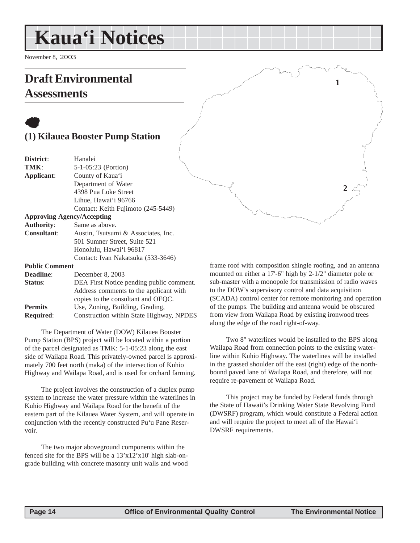## <span id="page-13-0"></span>**Kaua'i Notices**

November 8, 2003

## **Draft Environmental Assessments**

## $\bullet$ **(1) Kilauea Booster Pump Station**

| District:          | Hanalei                             |
|--------------------|-------------------------------------|
| TMK:               | 5-1-05:23 (Portion)                 |
| Applicant:         | County of Kaua'i                    |
|                    | Department of Water                 |
|                    | 4398 Pua Loke Street                |
|                    | Lihue, Hawai'i 96766                |
|                    | Contact: Keith Fujimoto (245-5449)  |
|                    | <b>Approving Agency/Accepting</b>   |
| <b>Authority:</b>  | Same as above.                      |
| <b>Consultant:</b> | Austin, Tsutsumi & Associates, Inc. |
|                    | 501 Sumner Street, Suite 521        |
|                    | Honolulu, Hawai'i 96817             |
|                    | Contact: Ivan Nakatsuka (533-3646)  |
|                    |                                     |

**Public Comment**

| <b>Deadline:</b> | December 8, 2003                         |
|------------------|------------------------------------------|
| Status:          | DEA First Notice pending public comment. |
|                  | Address comments to the applicant with   |
|                  | copies to the consultant and OEQC.       |
| <b>Permits</b>   | Use, Zoning, Building, Grading,          |
| <b>Required:</b> | Construction within State Highway, NPDES |
|                  |                                          |

The Department of Water (DOW) Kilauea Booster Pump Station (BPS) project will be located within a portion of the parcel designated as TMK: 5-1-05:23 along the east side of Wailapa Road. This privately-owned parcel is approximately 700 feet north (maka) of the intersection of Kuhio Highway and Wailapa Road, and is used for orchard farming.

The project involves the construction of a duplex pump system to increase the water pressure within the waterlines in Kuhio Highway and Wailapa Road for the benefit of the eastern part of the Kilauea Water System, and will operate in conjunction with the recently constructed Pu'u Pane Reservoir.

The two major aboveground components within the fenced site for the BPS will be a 13'x12'x10' high slab-ongrade building with concrete masonry unit walls and wood frame roof with composition shingle roofing, and an antenna mounted on either a 17'-6" high by 2-1/2" diameter pole or sub-master with a monopole for transmission of radio waves to the DOW's supervisory control and data acquisition (SCADA) control center for remote monitoring and operation of the pumps. The building and antenna would be obscured from view from Wailapa Road by existing ironwood trees along the edge of the road right-of-way.

**2**

**1**

Two 8" waterlines would be installed to the BPS along Wailapa Road from connection points to the existing waterline within Kuhio Highway. The waterlines will be installed in the grassed shoulder off the east (right) edge of the northbound paved lane of Wailapa Road, and therefore, will not require re-pavement of Wailapa Road.

This project may be funded by Federal funds through the State of Hawaii's Drinking Water State Revolving Fund (DWSRF) program, which would constitute a Federal action and will require the project to meet all of the Hawai'i DWSRF requirements.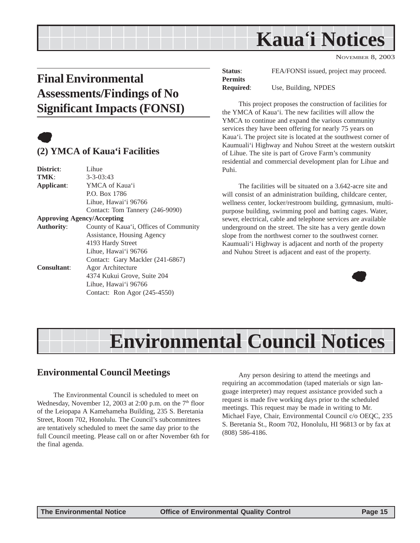## **Kaua'i Notices**

NOVEMBER 8, 2003

## <span id="page-14-0"></span>**Final Environmental Assessments/Findings of No Significant Impacts (FONSI)**



## **(2) YMCA of Kaua'i Facilities**

| District:          | Lihue                                  |
|--------------------|----------------------------------------|
| TMK:               | $3 - 3 - 03:43$                        |
| Applicant:         | YMCA of Kaua'i                         |
|                    | P.O. Box 1786                          |
|                    | Lihue, Hawai'i 96766                   |
|                    | Contact: Tom Tannery (246-9090)        |
|                    | <b>Approving Agency/Accepting</b>      |
| <b>Authority:</b>  | County of Kaua'i, Offices of Community |
|                    | Assistance, Housing Agency             |
|                    | 4193 Hardy Street                      |
|                    | Lihue, Hawai'i 96766                   |
|                    | Contact: Gary Mackler (241-6867)       |
| <b>Consultant:</b> | Agor Architecture                      |
|                    | 4374 Kukui Grove, Suite 204            |
|                    | Lihue, Hawai'i 96766                   |
|                    | Contact: Ron Agor (245-4550)           |
|                    |                                        |

**Status:** FEA/FONSI issued, project may proceed. **Permits Required**: Use, Building, NPDES

This project proposes the construction of facilities for the YMCA of Kaua'i. The new facilities will allow the YMCA to continue and expand the various community services they have been offering for nearly 75 years on Kaua'i. The project site is located at the southwest corner of Kaumuali'i Highway and Nuhou Street at the western outskirt of Lihue. The site is part of Grove Farm's community residential and commercial development plan for Lihue and Puhi.

The facilities will be situated on a 3.642-acre site and will consist of an administration building, childcare center, wellness center, locker/restroom building, gymnasium, multipurpose building, swimming pool and batting cages. Water, sewer, electrical, cable and telephone services are available underground on the street. The site has a very gentle down slope from the northwest corner to the southwest corner. Kaumuali'i Highway is adjacent and north of the property and Nuhou Street is adjacent and east of the property.



## **Environmental Council Notices**

## **Environmental Council Meetings**

The Environmental Council is scheduled to meet on Wednesday, November 12, 2003 at 2:00 p.m. on the  $7<sup>th</sup>$  floor of the Leiopapa A Kamehameha Building, 235 S. Beretania Street, Room 702, Honolulu. The Council's subcommittees are tentatively scheduled to meet the same day prior to the full Council meeting. Please call on or after November 6th for the final agenda.

Any person desiring to attend the meetings and requiring an accommodation (taped materials or sign language interpreter) may request assistance provided such a request is made five working days prior to the scheduled meetings. This request may be made in writing to Mr. Michael Faye, Chair, Environmental Council c/o OEQC, 235 S. Beretania St., Room 702, Honolulu, HI 96813 or by fax at (808) 586-4186.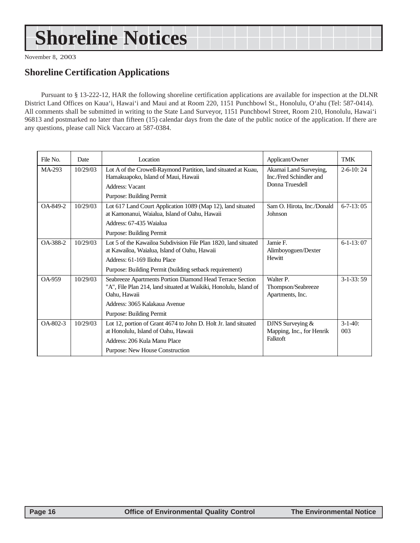## **Shoreline Notices**

November 8, 2003

## **Shoreline Certification Applications**

Pursuant to § 13-222-12, HAR the following shoreline certification applications are available for inspection at the DLNR District Land Offices on Kaua'i, Hawai'i and Maui and at Room 220, 1151 Punchbowl St., Honolulu, O'ahu (Tel: 587-0414). All comments shall be submitted in writing to the State Land Surveyor, 1151 Punchbowl Street, Room 210, Honolulu, Hawai'i 96813 and postmarked no later than fifteen (15) calendar days from the date of the public notice of the application. If there are any questions, please call Nick Vaccaro at 587-0384.

| File No.      | Date     | Location                                                                                                                                       | Applicant/Owner                                                      | TMK               |
|---------------|----------|------------------------------------------------------------------------------------------------------------------------------------------------|----------------------------------------------------------------------|-------------------|
| MA-293        | 10/29/03 | Lot A of the Crowell-Raymond Partition, land situated at Kuau,<br>Hamakuapoko, Island of Maui, Hawaii<br><b>Address: Vacant</b>                | Akamai Land Surveying,<br>Inc./Fred Schindler and<br>Donna Truesdell | $2-6-10:24$       |
|               |          | Purpose: Building Permit                                                                                                                       |                                                                      |                   |
| OA-849-2      | 10/29/03 | Lot 617 Land Court Application 1089 (Map 12), land situated<br>at Kamonanui, Waialua, Island of Oahu, Hawaii                                   | Sam O. Hirota, Inc./Donald<br>Johnson                                | $6 - 7 - 13:05$   |
|               |          | Address: 67-435 Waialua                                                                                                                        |                                                                      |                   |
|               |          | Purpose: Building Permit                                                                                                                       |                                                                      |                   |
| OA-388-2      | 10/29/03 | Lot 5 of the Kawailoa Subdivision File Plan 1820, land situated<br>at Kawailoa, Waialua, Island of Oahu, Hawaii                                | Jamie F.<br>Alimboyoguen/Dexter                                      | $6-1-13:07$       |
|               |          | Address: 61-169 Iliohu Place                                                                                                                   | Hewitt                                                               |                   |
|               |          | Purpose: Building Permit (building setback requirement)                                                                                        |                                                                      |                   |
| <b>OA-959</b> | 10/29/03 | Seabreeze Apartments Portion Diamond Head Terrace Section<br>"A", File Plan 214, land situated at Waikiki, Honolulu, Island of<br>Oahu, Hawaii | Walter P.<br>Thompson/Seabreeze<br>Apartments, Inc.                  | $3-1-33:59$       |
|               |          | Address: 3065 Kalakaua Avenue                                                                                                                  |                                                                      |                   |
|               |          | Purpose: Building Permit                                                                                                                       |                                                                      |                   |
| OA-802-3      | 10/29/03 | Lot 12, portion of Grant 4674 to John D. Holt Jr. land situated<br>at Honolulu, Island of Oahu, Hawaii                                         | DJNS Surveying &<br>Mapping, Inc., for Henrik                        | $3-1-40$ :<br>003 |
|               |          | Address: 206 Kula Manu Place                                                                                                                   | Falktoft                                                             |                   |
|               |          | Purpose: New House Construction                                                                                                                |                                                                      |                   |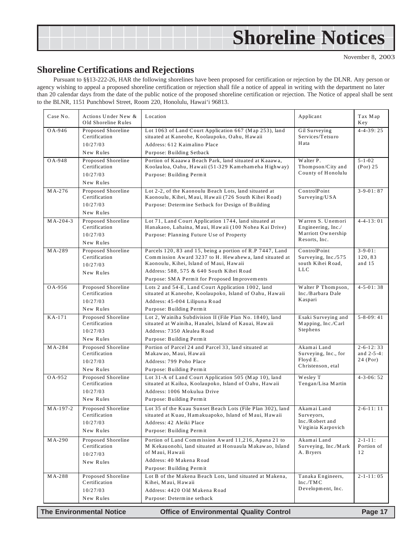<span id="page-16-0"></span>

### **Shoreline Certifications and Rejections**

Pursuant to §§13-222-26, HAR the following shorelines have been proposed for certification or rejection by the DLNR. Any person or agency wishing to appeal a proposed shoreline certification or rejection shall file a notice of appeal in writing with the department no later than 20 calendar days from the date of the public notice of the proposed shoreline certification or rejection. The Notice of appeal shall be sent to the BLNR, 1151 Punchbowl Street, Room 220, Honolulu, Hawai'i 96813.

| Case No. | Actions Under New &<br>Old Shoreline Rules      | Location                                                                                                                                                       | Applicant                                                                            | Tax Map<br>Key                       |
|----------|-------------------------------------------------|----------------------------------------------------------------------------------------------------------------------------------------------------------------|--------------------------------------------------------------------------------------|--------------------------------------|
| OA-946   | Proposed Shoreline<br>Certification             | Lot 1063 of Land Court Application 667 (Map 253), land<br>situated at Kaneohe, Koolaupoko, Oahu, Hawaii                                                        | Gil Surveying<br>Services/Tetsuro                                                    | $4 - 4 - 39:25$                      |
|          | 10/27/03                                        | Address: 612 Kaimalino Place                                                                                                                                   | Hata                                                                                 |                                      |
|          | New Rules                                       | Purpose: Building Setback                                                                                                                                      |                                                                                      |                                      |
| OA-948   | Proposed Shoreline<br>Certification             | Portion of Kaaawa Beach Park, land situated at Kaaawa,<br>Koolauloa, Oahu, Hawaii (51-329 Kamehameha Highway)                                                  | Walter P.<br>Thompson/City and<br>County of Honolulu                                 | $5 - 1 - 02$<br>$(Por)$ 25           |
|          | 10/27/03                                        | Purpose: Building Permit                                                                                                                                       |                                                                                      |                                      |
|          | New Rules                                       |                                                                                                                                                                |                                                                                      |                                      |
| MA-276   | Proposed Shoreline<br>Certification             | Lot 2-2, of the Kaonoulu Beach Lots, land situated at<br>Kaonoulu, Kihei, Maui, Hawaii (726 South Kihei Road)                                                  | ControlPoint<br>$\operatorname{Surve}\!\operatorname{vin}\!g/\operatorname{U}\!S\!A$ | $3 - 9 - 01:87$                      |
|          | 10/27/03                                        | Purpose: Determine Setback for Design of Building                                                                                                              |                                                                                      |                                      |
|          | New Rules                                       |                                                                                                                                                                |                                                                                      |                                      |
| MA-204-3 | Proposed Shoreline<br>Certification             | Lot 71, Land Court Application 1744, land situated at<br>Hanakaoo, Lahaina, Maui, Hawaii (100 Nohea Kai Drive)                                                 | Warren S. Unemori<br>Engineering, Inc./                                              | $4 - 4 - 13 : 01$                    |
|          | 10/27/03                                        | Purpose: Planning Future Use of Property                                                                                                                       | Marriott Ownership<br>Resorts, Inc.                                                  |                                      |
|          | New Rules                                       |                                                                                                                                                                |                                                                                      |                                      |
| MA-289   | Proposed Shoreline<br>Certification<br>10/27/03 | Parcels 120, 83 and 15, being a portion of R.P 7447, Land<br>Commission Award 3237 to H. Hewahewa, land situated at<br>Kaonoulu, Kihei, Island of Maui, Hawaii | ControlPoint<br>Surveying, Inc./575<br>south Kihei Road,                             | $3 - 9 - 01$ :<br>120.83<br>and $15$ |
|          | New Rules                                       | Address: 588, 575 & 640 South Kihei Road                                                                                                                       | <b>LLC</b>                                                                           |                                      |
|          |                                                 | Purpose: SMA Permit for Proposed Improvements                                                                                                                  |                                                                                      |                                      |
| OA-956   | Proposed Shoreline<br>Certification             | Lots 2 and 54-E, Land Court Application 1002, land<br>situated at Kaneohe, Koolaupoko, Island of Oahu, Hawaii                                                  | Walter P Thompson,<br>Inc./Barbara Dale                                              | $4 - 5 - 01:38$                      |
|          | 10/27/03                                        | Address: 45-004 Lilipuna Road                                                                                                                                  | Kaspari                                                                              |                                      |
|          | New Rules                                       | Purpose: Building Permit                                                                                                                                       |                                                                                      |                                      |
| KA-171   | Proposed Shoreline<br>Certification             | Lot 2, Wainiha Subdivision II (File Plan No. 1840), land<br>situated at Wainiha, Hanalei, Island of Kauai, Hawaii                                              | Esaki Surveying and<br>Mapping, Inc./Carl                                            | $5 - 8 - 09:41$                      |
|          | 10/27/03                                        | Address: 7350 Alealea Road                                                                                                                                     | Stephens                                                                             |                                      |
|          | New Rules                                       | Purpose: Building Permit                                                                                                                                       |                                                                                      |                                      |
| MA-284   | Proposed Shoreline<br>Certification             | Portion of Parcel 24 and Parcel 33, land situated at<br>Makawao, Maui, Hawaii                                                                                  | Akamai Land<br>Surveying, Inc., for                                                  | $2 - 6 - 12:33$<br>and $2-5-4$ :     |
|          | 10/27/03                                        | Address: 799 Poho Place                                                                                                                                        | Floyd E.<br>Christenson, etal                                                        | 24 (Por)                             |
|          | New Rules                                       | Purpose: Building Permit                                                                                                                                       |                                                                                      |                                      |
| OA-952   | Proposed Shoreline<br>Certification             | Lot 31-A of Land Court Application 505 (Map 10), land                                                                                                          | Wesley T                                                                             | $4 - 3 - 06:52$                      |
|          | 10/27/03                                        | situated at Kailua, Koolaupoko, Island of Oahu, Hawaii<br>Address: 1006 Mokulua Drive                                                                          | Tengan/Lisa Martin                                                                   |                                      |
|          | New Rules                                       | Purpose: Building Permit                                                                                                                                       |                                                                                      |                                      |
| MA-197-2 | Proposed Shoreline                              | Lot 35 of the Kuau Sunset Beach Lots (File Plan 302), land                                                                                                     | Akamai Land                                                                          | $2 - 6 - 11 : 11$                    |
|          | Certification                                   | situated at Kuau, Hamakuapoko, Island of Maui, Hawaii                                                                                                          | Surveyors,                                                                           |                                      |
|          | 10/27/03                                        | Address: 42 Aleiki Place                                                                                                                                       | Inc./Robert and                                                                      |                                      |
|          | New Rules                                       | Purpose: Building Permit                                                                                                                                       | Virginia Karpovich                                                                   |                                      |
| MA-290   | Proposed Shoreline                              | Portion of Land Commission Award 11,216, Apana 21 to                                                                                                           | Akamai Land                                                                          | $2 - 1 - 11$ :                       |
|          | Certification                                   | M Kekauonohi, land situated at Honuaula Makawao, Island                                                                                                        | Surveying, Inc./Mark                                                                 | Portion of                           |
|          | 10/27/03                                        | of Maui. Hawaii<br>Address: 40 Makena Road                                                                                                                     | A. Bryers                                                                            | 12                                   |
|          | New Rules                                       | Purpose: Building Permit                                                                                                                                       |                                                                                      |                                      |
| MA-288   | Proposed Shoreline                              | Lot B of the Makena Beach Lots, land situated at Makena,                                                                                                       | Tanaka Engineers,                                                                    | $2 - 1 - 11:05$                      |
|          | Certification                                   | Kihei, Maui, Hawaii                                                                                                                                            | Inc./TMC                                                                             |                                      |
|          | 10/27/03                                        | Address: 4420 Old Makena Road                                                                                                                                  | Development, Inc.                                                                    |                                      |
|          | New Rules                                       | Purpose: Determine setback                                                                                                                                     |                                                                                      |                                      |
|          | <b>The Environmental Notice</b>                 | <b>Office of Environmental Quality Control</b>                                                                                                                 |                                                                                      | Page 17                              |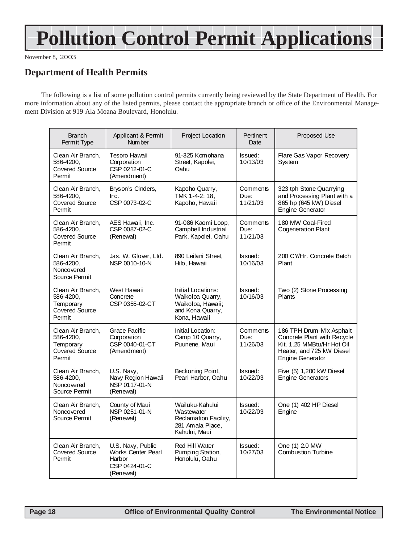## **Pollution Control Permit Applications**

November 8, 2003

## **Department of Health Permits**

The following is a list of some pollution control permits currently being reviewed by the State Department of Health. For more information about any of the listed permits, please contact the appropriate branch or office of the Environmental Management Division at 919 Ala Moana Boulevard, Honolulu.

| <b>Branch</b><br>Permit Type                                                   | Applicant & Permit<br>Num ber                                                          | Project Location                                                                                | Pertinent<br>Date            | Proposed Use                                                                                                                                  |
|--------------------------------------------------------------------------------|----------------------------------------------------------------------------------------|-------------------------------------------------------------------------------------------------|------------------------------|-----------------------------------------------------------------------------------------------------------------------------------------------|
| Clean Air Branch,<br>586-4200,<br><b>Covered Source</b><br>Permit              | Tesoro Hawaii<br>Corporation<br>CSP 0212-01-C<br>(Amendment)                           | 91-325 Komohana<br>Street, Kapolei,<br>Oahu                                                     | Issued:<br>10/13/03          | Flare Gas Vapor Recovery<br><b>System</b>                                                                                                     |
| Clean Air Branch,<br>586-4200,<br><b>Covered Source</b><br>Permit              | Bryson's Cinders,<br>Inc.<br>CSP 0073-02-C                                             | Kapoho Quarry,<br>TMK 1-4-2: 18,<br>Kapoho, Hawaii                                              | Comments<br>Due:<br>11/21/03 | 323 tph Stone Quarrying<br>and Processing Plant with a<br>865 hp (645 kW) Diesel<br><b>Engine Generator</b>                                   |
| Clean Air Branch,<br>586-4200,<br>Covered Source<br>Permit                     | AES Hawaii, Inc.<br>CSP 0087-02-C<br>(Renewal)                                         | 91-086 Kaomi Loop,<br>Campbell Industrial<br>Park, Kapolei, Oahu                                | Comments<br>Due:<br>11/21/03 | 180 MW Coal-Fired<br><b>Cogeneration Plant</b>                                                                                                |
| Clean Air Branch,<br>586-4200.<br>Noncovered<br>Source Permit                  | Jas. W. Glover, Ltd.<br>NSP 0010-10-N                                                  | 890 Leilani Street,<br>Hilo, Hawaii                                                             | Issued:<br>10/16/03          | 200 CY/Hr. Concrete Batch<br>Plant                                                                                                            |
| Clean Air Branch,<br>586-4200,<br>Temporary<br><b>Covered Source</b><br>Permit | West Hawaii<br>Concrete<br>CSP 0355-02-CT                                              | Initial Locations:<br>Waikoloa Quarry,<br>Waikoloa, Hawaii;<br>and Kona Quarry,<br>Kona, Hawaii | Issued:<br>10/16/03          | Two (2) Stone Processing<br>Plants                                                                                                            |
| Clean Air Branch,<br>586-4200,<br>Temporary<br><b>Covered Source</b><br>Permit | Grace Pacific<br>Corporation<br>CSP 0040-01-CT<br>(Amendment)                          | Initial Location:<br>Camp 10 Quarry,<br>Puunene, Maui                                           | Comments<br>Due:<br>11/26/03 | 186 TPH Drum-Mix Asphalt<br>Concrete Plant with Recycle<br>Kit. 1.25 MMBtu/Hr Hot Oil<br>Heater, and 725 kW Diesel<br><b>Engine Generator</b> |
| Clean Air Branch,<br>586-4200,<br>Noncovered<br>Source Permit                  | U.S. Naw,<br>Navy Region Hawaii<br>NSP 0117-01-N<br>(Renewal)                          | Beckoning Point,<br>Pearl Harbor, Oahu                                                          | Issued:<br>10/22/03          | Five (5) 1,200 kW Diesel<br>Engine Generators                                                                                                 |
| Clean Air Branch,<br>Noncovered<br>Source Permit                               | County of Maui<br>NSP 0251-01-N<br>(Renewal)                                           | Wailuku-Kahului<br>Wastewater<br>Reclamation Facility,<br>281 Amala Place,<br>Kahului, Maui     | Issued:<br>10/22/03          | One (1) 402 HP Diesel<br>Engine                                                                                                               |
| Clean Air Branch,<br><b>Covered Source</b><br>Permit                           | U.S. Navy, Public<br><b>Works Center Pearl</b><br>Harbor<br>CSP 0424-01-C<br>(Renewal) | <b>Red Hill Water</b><br>Pumping Station,<br>Honolulu, Oahu                                     | Issued:<br>10/27/03          | One (1) 2.0 MW<br><b>Combustion Turbine</b>                                                                                                   |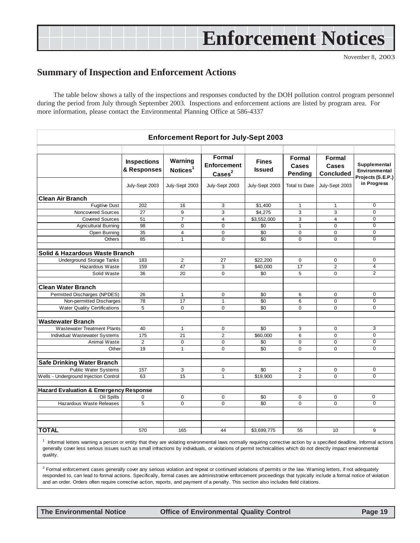## **Enforcement Notices**

November 8, 2003

### <span id="page-18-0"></span>**Summary of Inspection and Enforcement Actions**

The table below shows a tally of the inspections and responses conducted by the DOH pollution control program personnel during the period from July through September 2003. Inspections and enforcement actions are listed by program area. For more information, please contact the Environmental Planning Office at 586-4337

| <b>Enforcement Report for July-Sept 2003</b>      |                                   |                                 |                                                 |                               |                                   |                                     |                                                    |
|---------------------------------------------------|-----------------------------------|---------------------------------|-------------------------------------------------|-------------------------------|-----------------------------------|-------------------------------------|----------------------------------------------------|
|                                                   | <b>Inspections</b><br>& Responses | Warning<br>Notices <sup>1</sup> | Formal<br><b>Enforcement</b><br>$\text{Case}^2$ | <b>Fines</b><br><b>Issued</b> | Formal<br>Cases<br><b>Pending</b> | Formal<br>Cases<br><b>Concluded</b> | Supplemental<br>Environmental<br>Projects (S.E.P.) |
|                                                   | July-Sept 2003                    | July-Sept 2003                  | July-Sept 2003                                  | July-Sept 2003                | <b>Total to Date</b>              | July-Sept 2003                      | in Progress                                        |
| <b>Clean Air Branch</b>                           |                                   |                                 |                                                 |                               |                                   |                                     |                                                    |
| <b>Fugitive Dust</b>                              | 202                               | 16                              | 3                                               | \$1.400                       | $\mathbf{1}$                      | $\mathbf{1}$                        | $\mathbf 0$                                        |
| Noncovered Sources                                | 27                                | 9                               | 3                                               | \$4,275                       | 3                                 | 3                                   | $\overline{0}$                                     |
| <b>Covered Sources</b>                            | 51                                | $\overline{7}$                  | $\overline{4}$                                  | \$3,552,000                   | 3                                 | $\overline{4}$                      | $\Omega$                                           |
| <b>Agricultural Burning</b>                       | 98                                | $\mathbf 0$                     | $\Omega$                                        | \$0                           | $\mathbf{1}$                      | $\mathbf 0$                         | $\mathbf 0$                                        |
| Open Burning                                      | 35                                | $\overline{4}$                  | $\mathbf 0$                                     | \$0                           | $\mathbf 0$                       | $\mathbf 0$                         | $\mathbf 0$                                        |
| Others                                            | 85                                | $\mathbf{1}$                    | $\Omega$                                        | \$0                           | $\Omega$                          | $\Omega$                            | $\Omega$                                           |
| Solid & Hazardous Waste Branch                    |                                   |                                 |                                                 |                               |                                   |                                     |                                                    |
| <b>Underground Storage Tanks</b>                  | 183                               | $\mathbf{2}$                    | 27                                              | \$22,200                      | 0                                 | $\mathbf 0$                         | $\mathbf 0$                                        |
| Hazardous Waste                                   | 159                               | 47                              | 3                                               | \$40,000                      | 17                                | $\overline{2}$                      | $\overline{4}$                                     |
| Solid Waste                                       | 36                                | 20                              | 0                                               | \$0                           | 5                                 | $\mathbf 0$                         | $\overline{2}$                                     |
| <b>Clean Water Branch</b>                         |                                   |                                 |                                                 |                               |                                   |                                     |                                                    |
| Permitted Discharges (NPDES)                      | 26                                | $\mathbf{1}$                    | $\mathbf 0$                                     | \$0                           | 6                                 | $\mathbf 0$                         | $\overline{0}$                                     |
| Non-permitted Discharges                          | 78                                | 17                              | $\mathbf{1}$                                    | \$0                           | 6                                 | $\Omega$                            | $\Omega$                                           |
| <b>Water Quality Certifications</b>               | 5                                 | $\mathbf 0$                     | $\Omega$                                        | \$0                           | $\Omega$                          | $\Omega$                            | $\mathbf 0$                                        |
| <b>Wastewater Branch</b>                          |                                   |                                 |                                                 |                               |                                   |                                     |                                                    |
| <b>Wastewater Treatment Plants</b>                | 40                                | $\mathbf{1}$                    | $\mathbf 0$                                     | \$0                           | 3                                 | $\mathbf 0$                         | 3                                                  |
| Individual Wastewater Systems                     | 175                               | 21                              | $\overline{2}$                                  | \$60,000                      | 6                                 | $\mathbf 0$                         | $\mathbf 0$                                        |
| Animal Waste                                      | $\overline{2}$                    | $\mathbf 0$                     | $\mathbf 0$                                     | \$0                           | $\mathbf 0$                       | $\mathbf 0$                         | $\mathbf 0$                                        |
| Other                                             | 19                                | $\mathbf{1}$                    | 0                                               | \$0                           | 0                                 | 0                                   | $\mathbf 0$                                        |
| <b>Safe Drinking Water Branch</b>                 |                                   |                                 |                                                 |                               |                                   |                                     |                                                    |
| <b>Public Water Systems</b>                       | 157                               | 3                               | $\mathbf 0$                                     | \$0                           | $\overline{2}$                    | $\mathbf 0$                         | $\mathbf 0$                                        |
| Wells - Underground Injection Control             | 63                                | 15                              | $\mathbf{1}$                                    | \$19,900                      | $\overline{2}$                    | $\Omega$                            | $\overline{0}$                                     |
| <b>Hazard Evaluation &amp; Emergency Response</b> |                                   |                                 |                                                 |                               |                                   |                                     |                                                    |
| <b>Oil Spills</b>                                 | 0                                 | 0                               | 0                                               | \$0                           | 0                                 | $\mathbf 0$                         | 0                                                  |
| Hazardous Waste Releases                          | 5                                 | $\Omega$                        | $\Omega$                                        | \$0                           | $\Omega$                          | $\Omega$                            | $\overline{0}$                                     |
|                                                   |                                   |                                 |                                                 |                               |                                   |                                     |                                                    |
|                                                   |                                   |                                 |                                                 |                               |                                   |                                     |                                                    |
| <b>TOTAL</b>                                      | 570                               | 165                             | 44                                              | \$3,699,775                   | 55                                | 10                                  | 9                                                  |

<sup>1</sup> Informal letters warning a person or entity that they are violating environmental laws normally requiring corrective action by a specified deadline. Informal actions generally cover less serious issues such as small infractions by individuals, or violations of permit technicalities which do not directly impact environmental quality.

<sup>2</sup> Formal enforcement cases generally cover any serious violation and repeat or continued violations of permits or the law. Warning letters, if not adequately responded to, can lead to formal actions. Specifically, formal cases are administrative enforcement proceedings that typically include a formal notice of violation and an order. Orders often require corrective action, reports, and payment of a penalty. This section also includes field citations.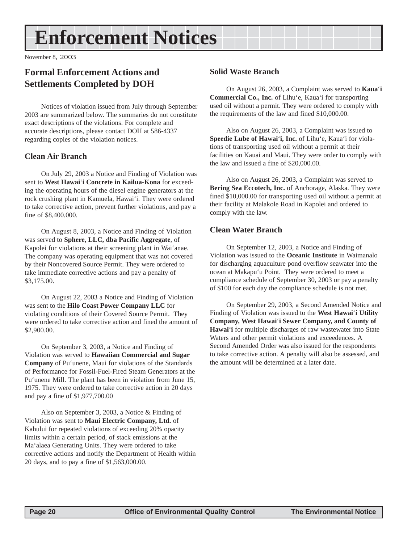## <span id="page-19-0"></span>**Enforcement Notices**

November 8, 2003

## **Formal Enforcement Actions and Settlements Completed by DOH**

Notices of violation issued from July through September 2003 are summarized below. The summaries do not constitute exact descriptions of the violations. For complete and accurate descriptions, please contact DOH at 586-4337 regarding copies of the violation notices.

#### **Clean Air Branch**

On July 29, 2003 a Notice and Finding of Violation was sent to **West Hawai**'**i Concrete in Kailua-Kona** for exceeding the operating hours of the diesel engine generators at the rock crushing plant in Kamuela, Hawai'i. They were ordered to take corrective action, prevent further violations, and pay a fine of \$8,400.000.

On August 8, 2003, a Notice and Finding of Violation was served to **Sphere, LLC, dba Pacific Aggregate**, of Kapolei for violations at their screening plant in Wai'anae. The company was operating equipment that was not covered by their Noncovered Source Permit. They were ordered to take immediate corrective actions and pay a penalty of \$3,175.00.

On August 22, 2003 a Notice and Finding of Violation was sent to the **Hilo Coast Power Company LLC** for violating conditions of their Covered Source Permit. They were ordered to take corrective action and fined the amount of \$2,900.00.

On September 3, 2003, a Notice and Finding of Violation was served to **Hawaiian Commercial and Sugar Company** of Pu'unene, Maui for violations of the Standards of Performance for Fossil-Fuel-Fired Steam Generators at the Pu'unene Mill. The plant has been in violation from June 15, 1975. They were ordered to take corrective action in 20 days and pay a fine of \$1,977,700.00

Also on September 3, 2003, a Notice & Finding of Violation was sent to **Maui Electric Company, Ltd.** of Kahului for repeated violations of exceeding 20% opacity limits within a certain period, of stack emissions at the Ma'alaea Generating Units. They were ordered to take corrective actions and notify the Department of Health within 20 days, and to pay a fine of \$1,563,000.00.

#### **Solid Waste Branch**

On August 26, 2003, a Complaint was served to **Kaua**'**i Commercial Co., Inc.** of Lihu'e, Kaua'i for transporting used oil without a permit. They were ordered to comply with the requirements of the law and fined \$10,000.00.

Also on August 26, 2003, a Complaint was issued to **Speedie Lube of Hawai**'**i, Inc.** of Lihu'e, Kaua'i for violations of transporting used oil without a permit at their facilities on Kauai and Maui. They were order to comply with the law and issued a fine of \$20,000.00.

Also on August 26, 2003, a Complaint was served to **Bering Sea Eccotech, Inc.** of Anchorage, Alaska. They were fined \$10,000.00 for transporting used oil without a permit at their facility at Malakole Road in Kapolei and ordered to comply with the law.

#### **Clean Water Branch**

On September 12, 2003, a Notice and Finding of Violation was issued to the **Oceanic Institute** in Waimanalo for discharging aquaculture pond overflow seawater into the ocean at Makapu'u Point. They were ordered to meet a compliance schedule of September 30, 2003 or pay a penalty of \$100 for each day the compliance schedule is not met.

On September 29, 2003, a Second Amended Notice and Finding of Violation was issued to the **West Hawai**'**i Utility Company, West Hawai**'**i Sewer Company, and County of Hawai**'**i** for multiple discharges of raw wastewater into State Waters and other permit violations and exceedences. A Second Amended Order was also issued for the respondents to take corrective action. A penalty will also be assessed, and the amount will be determined at a later date.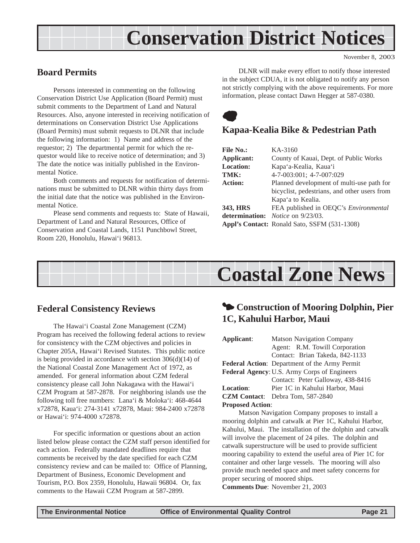## **Conservation District Notices**

November 8, 2003

## <span id="page-20-0"></span>**Board Permits**

Persons interested in commenting on the following Conservation District Use Application (Board Permit) must submit comments to the Department of Land and Natural Resources. Also, anyone interested in receiving notification of determinations on Conservation District Use Applications (Board Permits) must submit requests to DLNR that include the following information: 1) Name and address of the requestor; 2) The departmental permit for which the requestor would like to receive notice of determination; and 3) The date the notice was initially published in the Environmental Notice.

Both comments and requests for notification of determinations must be submitted to DLNR within thirty days from the initial date that the notice was published in the Environmental Notice.

Please send comments and requests to: State of Hawaii, Department of Land and Natural Resources, Office of Conservation and Coastal Lands, 1151 Punchbowl Street, Room 220, Honolulu, Hawai'i 96813.

DLNR will make every effort to notify those interested in the subject CDUA, it is not obligated to notify any person not strictly complying with the above requirements. For more information, please contact Dawn Hegger at 587-0380.



## **Kapaa-Kealia Bike & Pedestrian Path**

| <b>File No.:</b> | KA-3160                                         |
|------------------|-------------------------------------------------|
| Applicant:       | County of Kauai, Dept. of Public Works          |
| <b>Location:</b> | Kapa'a-Kealia, Kaua'i                           |
| TMK:             | 4-7-003:001; 4-7-007:029                        |
| <b>Action:</b>   | Planned development of multi-use path for       |
|                  | bicyclist, pedestrians, and other users from    |
|                  | Kapa'a to Kealia.                               |
| 343, HRS         | FEA published in OEQC's Environmental           |
|                  | <b>determination:</b> <i>Notice</i> on 9/23/03. |
|                  | Appl's Contact: Ronald Sato, SSFM (531-1308)    |
|                  |                                                 |



### **Federal Consistency Reviews**

The Hawai'i Coastal Zone Management (CZM) Program has received the following federal actions to review for consistency with the CZM objectives and policies in Chapter 205A, Hawai'i Revised Statutes. This public notice is being provided in accordance with section 306(d)(14) of the National Coastal Zone Management Act of 1972, as amended. For general information about CZM federal consistency please call John Nakagawa with the Hawai'i CZM Program at 587-2878. For neighboring islands use the following toll free numbers: Lana'i & Moloka'i: 468-4644 x72878, Kaua'i: 274-3141 x72878, Maui: 984-2400 x72878 or Hawai'i: 974-4000 x72878.

For specific information or questions about an action listed below please contact the CZM staff person identified for each action. Federally mandated deadlines require that comments be received by the date specified for each CZM consistency review and can be mailed to: Office of Planning, Department of Business, Economic Development and Tourism, P.O. Box 2359, Honolulu, Hawaii 96804. Or, fax comments to the Hawaii CZM Program at 587-2899.

## $\bullet$  **Construction of Mooring Dolphin, Pier 1C, Kahului Harbor, Maui**

| Applicant:              | <b>Matson Navigation Company</b>              |  |  |
|-------------------------|-----------------------------------------------|--|--|
|                         | Agent: R.M. Towill Corporation                |  |  |
|                         | Contact: Brian Takeda, 842-1133               |  |  |
|                         | Federal Action: Department of the Army Permit |  |  |
|                         | Federal Agency: U.S. Army Corps of Engineers  |  |  |
|                         | Contact: Peter Galloway, 438-8416             |  |  |
| <b>Location:</b>        | Pier 1C in Kahului Harbor, Maui               |  |  |
|                         | <b>CZM Contact:</b> Debra Tom, 587-2840       |  |  |
| <b>Proposed Action:</b> |                                               |  |  |

Matson Navigation Company proposes to install a mooring dolphin and catwalk at Pier 1C, Kahului Harbor, Kahului, Maui. The installation of the dolphin and catwalk will involve the placement of 24 piles. The dolphin and catwalk superstructure will be used to provide sufficient mooring capability to extend the useful area of Pier 1C for container and other large vessels. The mooring will also provide much needed space and meet safety concerns for proper securing of moored ships.

**Comments Due**: November 21, 2003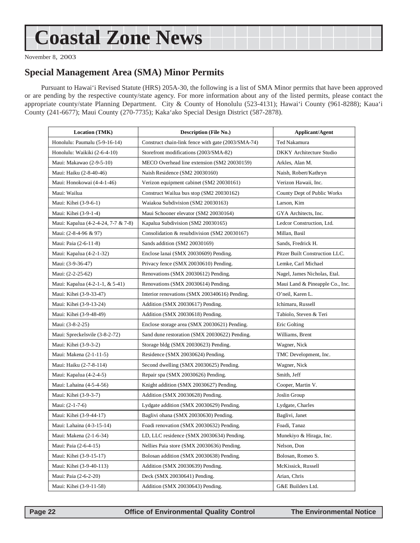## <span id="page-21-0"></span>**Coastal Zone News**

November 8, 2003

### **Special Management Area (SMA) Minor Permits**

Pursuant to Hawai'i Revised Statute (HRS) 205A-30, the following is a list of SMA Minor permits that have been approved or are pending by the respective county/state agency. For more information about any of the listed permits, please contact the appropriate county/state Planning Department. City & County of Honolulu (523-4131); Hawai'i County (961-8288); Kaua'i County (241-6677); Maui County (270-7735); Kaka'ako Special Design District (587-2878).

| <b>Location (TMK)</b>               | <b>Description (File No.)</b>                      | <b>Applicant/Agent</b>          |
|-------------------------------------|----------------------------------------------------|---------------------------------|
| Honolulu: Paumalu (5-9-16-14)       | Construct chain-link fence with gate (2003/SMA-74) | Ted Nakamura                    |
| Honolulu: Waikiki (2-6-4-10)        | Storefront modifications (2003/SMA-82)             | DKKY Architecture Studio        |
| Maui: Makawao (2-9-5-10)            | MECO Overhead line extension (SM2 20030159)        | Arkles, Alan M.                 |
| Maui: Haiku (2-8-40-46)             | Naish Residence (SM2 20030160)                     | Naish, Robert/Kathryn           |
| Maui: Honokowai (4-4-1-46)          | Verizon equipment cabinet (SM2 20030161)           | Verizon Hawaii, Inc.            |
| Maui: Wailua                        | Construct Wailua bus stop (SM2 20030162)           | County Dept of Public Works     |
| Maui: Kihei (3-9-6-1)               | Waiakoa Subdivision (SM2 20030163)                 | Larson, Kim                     |
| Maui: Kihei (3-9-1-4)               | Maui Schooner elevator (SM2 20030164)              | GYA Architects, Inc.            |
| Maui: Kapalua (4-2-4-24, 7-7 & 7-8) | Kapalua Subdivision (SM2 20030165)                 | Ledcor Construction, Ltd.       |
| Maui: (2-8-4-96 & 97)               | Consolidation & resubdivision (SM2 20030167)       | Millan, Basil                   |
| Maui: Paia (2-6-11-8)               | Sands addition (SM2 20030169)                      | Sands, Fredrick H.              |
| Maui: Kapalua (4-2-1-32)            | Enclose lanai (SMX 20030609) Pending.              | Pitzer Built Construction LLC.  |
| Maui: (3-9-36-47)                   | Privacy fence (SMX 20030610) Pending.              | Lemke, Carl Michael             |
| Maui: (2-2-25-62)                   | Renovations (SMX 20030612) Pending.                | Nagel, James Nicholas, Etal.    |
| Maui: Kapalua (4-2-1-1, & 5-41)     | Renovations (SMX 20030614) Pending.                | Maui Land & Pineapple Co., Inc. |
| Maui: Kihei (3-9-33-47)             | Interior renovations (SMX 200340616) Pending.      | O'neil, Karen L.                |
| Maui: Kihei (3-9-13-24)             | Addition (SMX 20030617) Pending.                   | Ichimaru, Russell               |
| Maui: Kihei (3-9-48-49)             | Addition (SMX 20030618) Pending.                   | Tabiolo, Steven & Teri          |
| Maui: (3-8-2-25)                    | Enclose storage area (SMX 20030621) Pending.       | Eric Golting                    |
| Maui: Spreckelsvile (3-8-2-72)      | Sand dune restoration (SMX 20030622) Pending.      | Williams, Brent                 |
| Maui: Kihei (3-9-3-2)               | Storage bldg (SMX 20030623) Pending.               | Wagner, Nick                    |
| Maui: Makena (2-1-11-5)             | Residence (SMX 20030624) Pending.                  | TMC Development, Inc.           |
| Maui: Haiku (2-7-8-114)             | Second dwelling (SMX 20030625) Pending.            | Wagner, Nick                    |
| Maui: Kapalua (4-2-4-5)             | Repair spa (SMX 20030626) Pending.                 | Smith, Jeff                     |
| Maui: Lahaina (4-5-4-56)            | Knight addition (SMX 20030627) Pending.            | Cooper, Martin V.               |
| Maui: Kihei (3-9-3-7)               | Addition (SMX 20030628) Pending.                   | Joslin Group                    |
| Maui: (2-1-7-6)                     | Lydgate addition (SMX 20030629) Pending.           | Lydgate, Charles                |
| Maui: Kihei (3-9-44-17)             | Baglivi ohana (SMX 20030630) Pending.              | Baglivi, Janet                  |
| Maui: Lahaina (4-3-15-14)           | Foadi renovation (SMX 20030632) Pending.           | Foadi, Tanaz                    |
| Maui: Makena (2-1-6-34)             | LD, LLC residence (SMX 20030634) Pending.          | Munekiyo & Hiraga, Inc.         |
| Maui: Paia (2-6-4-15)               | Nellies Paia store (SMX 20030636) Pending.         | Nelson, Don                     |
| Maui: Kihei (3-9-15-17)             | Bolosan addition (SMX 20030638) Pending.           | Bolosan, Romeo S.               |
| Maui: Kihei (3-9-40-113)            | Addition (SMX 20030639) Pending.                   | McKissick, Russell              |
| Maui: Paia (2-6-2-20)               | Deck (SMX 20030641) Pending.                       | Arian, Chris                    |
| Maui: Kihei (3-9-11-58)             | Addition (SMX 20030643) Pending.                   | G&E Builders Ltd.               |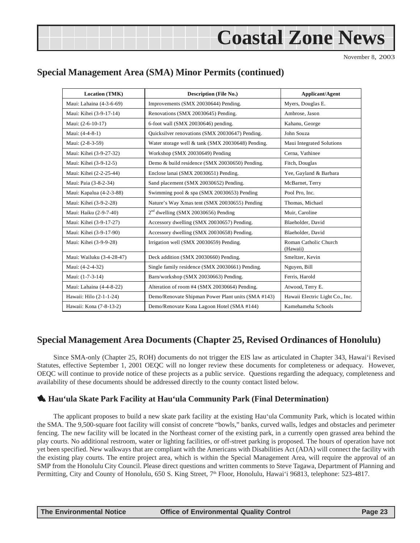## **Coastal Zone News**

November 8, 2003

## <span id="page-22-0"></span>**Special Management Area (SMA) Minor Permits (continued)**

| <b>Location (TMK)</b>     | <b>Description (File No.)</b>                      | <b>Applicant/Agent</b>            |
|---------------------------|----------------------------------------------------|-----------------------------------|
| Maui: Lahaina (4-3-6-69)  | Improvements (SMX 20030644) Pending.               | Myers, Douglas E.                 |
| Maui: Kihei (3-9-17-14)   | Renovations (SMX 20030645) Pending.                | Ambrose, Jason                    |
| Maui: (2-6-10-17)         | 6-foot wall (SMX 20030646) pending.                | Kahanu, George                    |
| Maui: (4-4-8-1)           | Quicksilver renovations (SMX 20030647) Pending.    | John Souza                        |
| Maui: (2-8-3-59)          | Water storage well & tank (SMX 20030648) Pending.  | Maui Integrated Solutions         |
| Maui: Kihei (3-9-27-32)   | Workshop (SMX 20030649) Pending                    | Cerna, Vathinee                   |
| Maui: Kihei (3-9-12-5)    | Demo & build residence (SMX 20030650) Pending.     | Fitch, Douglas                    |
| Maui: Kihei (2-2-25-44)   | Enclose lanai (SMX 20030651) Pending.              | Yee, Gayland & Barbara            |
| Maui: Paia (3-8-2-34)     | Sand placement (SMX 20030652) Pending.             | McBarnet, Terry                   |
| Maui: Kapalua (4-2-3-88)  | Swimming pool & spa (SMX 20030653) Pending         | Pool Pro. Inc.                    |
| Maui: Kihei (3-9-2-28)    | Nature's Way Xmas tent (SMX 20030655) Pending      | Thomas, Michael                   |
| Maui: Haiku (2-9-7-40)    | $2nd$ dwelling (SMX 20030656) Pending              | Muir, Caroline                    |
| Maui: Kihei (3-9-17-27)   | Accessory dwelling (SMX 20030657) Pending.         | Blaeholder, David                 |
| Maui: Kihei (3-9-17-90)   | Accessory dwelling (SMX 20030658) Pending.         | Blaeholder, David                 |
| Maui: Kihei (3-9-9-28)    | Irrigation well (SMX 20030659) Pending.            | Roman Catholic Church<br>(Hawaii) |
| Maui: Wailuku (3-4-28-47) | Deck addition (SMX 20030660) Pending.              | Smeltzer, Kevin                   |
| Maui: (4-2-4-32)          | Single family residence (SMX 20030661) Pending.    | Nguyen, Bill                      |
| Maui: (1-7-3-14)          | Barn/workshop (SMX 20030663) Pending.              | Ferris, Harold                    |
| Maui: Lahaina (4-4-8-22)  | Alteration of room #4 (SMX 20030664) Pending.      | Atwood, Terry E.                  |
| Hawaii: Hilo (2-1-1-24)   | Demo/Renovate Shipman Power Plant units (SMA #143) | Hawaii Electric Light Co., Inc.   |
| Hawaii: Kona (7-8-13-2)   | Demo/Renovate Kona Lagoon Hotel (SMA #144)         | Kamehameha Schools                |

### **Special Management Area Documents (Chapter 25, Revised Ordinances of Honolulu)**

Since SMA-only (Chapter 25, ROH) documents do not trigger the EIS law as articulated in Chapter 343, Hawai'i Revised Statutes, effective September 1, 2001 OEQC will no longer review these documents for completeness or adequacy. However, OEQC will continue to provide notice of these projects as a public service. Questions regarding the adequacy, completeness and availability of these documents should be addressed directly to the county contact listed below.

### 1 **Hau'ula Skate Park Facility at Hau'ula Community Park (Final Determination)**

The applicant proposes to build a new skate park facility at the existing Hau'ula Community Park, which is located within the SMA. The 9,500-square foot facility will consist of concrete "bowls," banks, curved walls, ledges and obstacles and perimeter fencing. The new facility will be located in the Northeast corner of the existing park, in a currently open grassed area behind the play courts. No additional restroom, water or lighting facilities, or off-street parking is proposed. The hours of operation have not yet been specified. New walkways that are compliant with the Americans with Disabilities Act (ADA) will connect the facility with the existing play courts. The entire project area, which is within the Special Management Area, will require the approval of an SMP from the Honolulu City Council. Please direct questions and written comments to Steve Tagawa, Department of Planning and Permitting, City and County of Honolulu, 650 S. King Street, 7<sup>th</sup> Floor, Honolulu, Hawai'i 96813, telephone: 523-4817.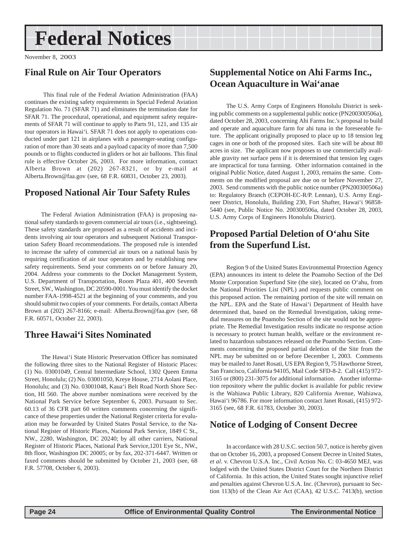## <span id="page-23-0"></span>**Federal Notices**

November 8, 2003

### **Final Rule on Air Tour Operators**

 This final rule of the Federal Aviation Administration (FAA) continues the existing safety requirements in Special Federal Aviation Regulation No. 71 (SFAR 71) and eliminates the termination date for SFAR 71. The procedural, operational, and equipment safety requirements of SFAR 71 will continue to apply to Parts 91, 121, and 135 air tour operators in Hawai'i. SFAR 71 does not apply to operations conducted under part 121 in airplanes with a passenger-seating configuration of more than 30 seats and a payload capacity of more than 7,500 pounds or to flights conducted in gliders or hot air balloons. This final rule is effective October 26, 2003. For more information, contact Alberta Brown at (202) 267-8321, or by e-mail at Alberta.Brown@faa.gov (see, 68 F.R. 60831, October 23, 2003).

## **Proposed National Air Tour Safety Rules**

The Federal Aviation Administration (FAA) is proposing national safety standards to govern commercial air tours (i.e., sightseeing). These safety standards are proposed as a result of accidents and incidents involving air tour operators and subsequent National Transportation Safety Board recommendations. The proposed rule is intended to increase the safety of commercial air tours on a national basis by requiring certification of air tour operators and by establishing new safety requirements. Send your comments on or before January 20, 2004. Address your comments to the Docket Management System, U.S. Department of Transportation, Room Plaza 401, 400 Seventh Street, SW., Washington, DC 20590-0001. You must identify the docket number FAA-1998-4521 at the beginning of your comments, and you should submit two copies of your comments. For details, contact Alberta Brown at (202) 267-8166; e-mail: Alberta.Brown@faa.gov (see, 68 F.R. 60571, October 22, 2003).

## **Three Hawai'i Sites Nominated**

The Hawai'i State Historic Preservation Officer has nominated the following three sites to the National Register of Historic Places: (1) No. 03001049, Central Intermediate School, 1302 Queen Emma Street, Honolulu; (2) No. 03001050, Kreye House, 2714 Aolani Place, Honolulu; and (3) No. 03001048, Kaua'i Belt Road North Shore Section, HI 560. The above number nominations were received by the National Park Service before September 6, 2003. Pursuant to Sec. 60.13 of 36 CFR part 60 written comments concerning the significance of these properties under the National Register criteria for evaluation may be forwarded by United States Postal Service, to the National Register of Historic Places, National Park Service, 1849 C St., NW., 2280, Washington, DC 20240; by all other carriers, National Register of Historic Places, National Park Service,1201 Eye St., NW., 8th floor, Washington DC 20005; or by fax, 202-371-6447. Written or faxed comments should be submitted by October 21, 2003 (see, 68 F.R. 57708, October 6, 2003).

## **Supplemental Notice on Ahi Farms Inc., Ocean Aquaculture in Wai'anae**

The U.S. Army Corps of Engineers Honolulu District is seeking public comments on a supplemental public notice (PN200300506a), dated October 28, 2003, concerning Ahi Farms Inc.'s proposal to build and operate and aquaculture farm for ahi tuna in the foreseeable future. The applicant originally proposed to place up to 18 tension leg cages in one or both of the proposed sites. Each site will be about 80 acres in size. The applicant now proposes to use commercially available gravity net surface pens if it is determined that tension leg cages are impractical for tuna farming. Other information contained in the original Public Notice, dated August 1, 2003, remains the same. Comments on the modified proposal are due on or before November 27, 2003. Send comments with the public notice number (PN200300506a) to: Regulatory Branch (CEPOH-EC-R/P. Lennan), U.S. Army Engineer District, Honolulu, Building 230, Fort Shafter, Hawai'i 96858- 5440 (see, Public Notice No. 200300506a, dated October 28, 2003, U.S. Army Corps of Engineers Honolulu District).

## **Proposed Partial Deletion of O'ahu Site from the Superfund List.**

Region 9 of the United States Environmental Protection Agency (EPA) announces its intent to delete the Poamoho Section of the Del Monte Corporation Superfund Site (the site), located on O'ahu, from the National Priorities List (NPL) and requests public comment on this proposed action. The remaining portion of the site will remain on the NPL. EPA and the State of Hawai'i Department of Health have determined that, based on the Remedial Investigation, taking remedial measures on the Poamoho Section of the site would not be appropriate. The Remedial Investigation results indicate no response action is necessary to protect human health, welfare or the environment related to hazardous substances released on the Poamoho Section. Comments concerning the proposed partial deletion of the Site from the NPL may be submitted on or before December 1, 2003. Comments may be mailed to Janet Rosati, US EPA Region 9, 75 Hawthorne Street, San Francisco, California 94105, Mail Code SFD-8-2. Call (415) 972- 3165 or (800) 231-3075 for additional information. Another information repository where the public docket is available for public review is the Wahiawa Public Library, 820 California Avenue, Wahiawa, Hawai'i 96786. For more information contact Janet Rosati, (415) 972- 3165 (see, 68 F.R. 61783, October 30, 2003).

### **Notice of Lodging of Consent Decree**

In accordance with 28 U.S.C. section 50.7, notice is hereby given that on October 16, 2003, a proposed Consent Decree in United States, *et al*. v. Chevron U.S.A. Inc., Civil Action No. C: 03-4650 MEJ, was lodged with the United States District Court for the Northern District of California. In this action, the United States sought injunctive relief and penalties against Chevron U.S.A. Inc. (Chevron), pursuant to Section 113(b) of the Clean Air Act (CAA), 42 U.S.C. 7413(b), section